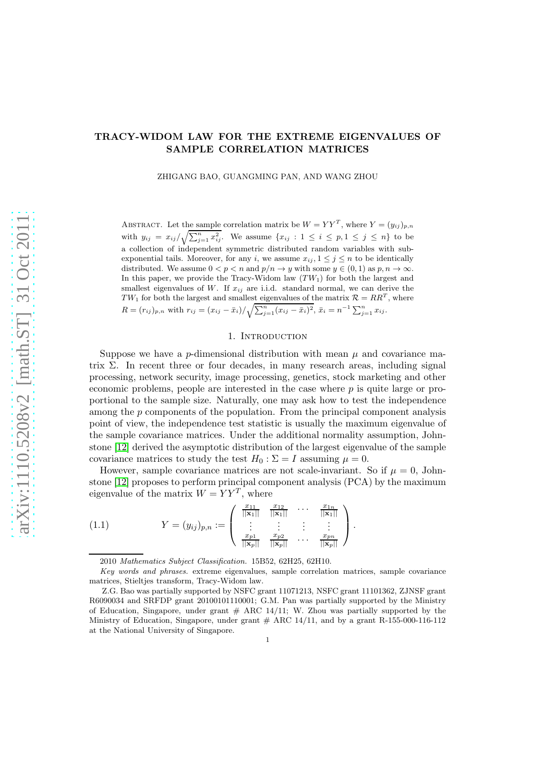# TRACY-WIDOM LAW FOR THE EXTREME EIGENVALUES OF SAMPLE CORRELATION MATRICES

ZHIGANG BAO, GUANGMING PAN, AND WANG ZHOU

ABSTRACT. Let the sample correlation matrix be  $W = YY^{T}$ , where  $Y = (y_{ij})_{p,n}$ with  $y_{ij} = x_{ij}/\sqrt{\sum_{j=1}^n x_{ij}^2}$ . We assume  $\{x_{ij} : 1 \le i \le p, 1 \le j \le n\}$  to be a collection of independent symmetric distributed random variables with subexponential tails. Moreover, for any i, we assume  $x_{ij}$ ,  $1 \leq j \leq n$  to be identically distributed. We assume  $0 < p < n$  and  $p/n \to y$  with some  $y \in (0,1)$  as  $p, n \to \infty$ . In this paper, we provide the Tracy-Widom law  $(TW_1)$  for both the largest and smallest eigenvalues of  $W$ . If  $x_{ij}$  are i.i.d. standard normal, we can derive the  $TW_1$  for both the largest and smallest eigenvalues of the matrix  $\mathcal{R} = RR^T$ , where  $R = (r_{ij})_{p,n}$  with  $r_{ij} = (x_{ij} - \bar{x}_i)/\sqrt{\sum_{j=1}^n (x_{ij} - \bar{x}_i)^2}, \ \bar{x}_i = n^{-1} \sum_{j=1}^n x_{ij}$ .

## 1. INTRODUCTION

Suppose we have a *p*-dimensional distribution with mean  $\mu$  and covariance matrix  $\Sigma$ . In recent three or four decades, in many research areas, including signal processing, network security, image processing, genetics, stock marketing and other economic problems, people are interested in the case where  $p$  is quite large or proportional to the sample size. Naturally, one may ask how to test the independence among the p components of the population. From the principal component analysis point of view, the independence test statistic is usually the maximum eigenvalue of the sample covariance matrices. Under the additional normality assumption, Johnstone [\[12\]](#page-33-0) derived the asymptotic distribution of the largest eigenvalue of the sample covariance matrices to study the test  $H_0 : \Sigma = I$  assuming  $\mu = 0$ .

However, sample covariance matrices are not scale-invariant. So if  $\mu = 0$ , Johnstone [\[12\]](#page-33-0) proposes to perform principal component analysis (PCA) by the maximum eigenvalue of the matrix  $W = YY^T$ , where

(1.1) 
$$
Y = (y_{ij})_{p,n} := \begin{pmatrix} \frac{x_{11}}{||\mathbf{x}_1||} & \frac{x_{12}}{||\mathbf{x}_1||} & \cdots & \frac{x_{1n}}{||\mathbf{x}_1||} \\ \vdots & \vdots & \vdots & \vdots \\ \frac{x_{p1}}{||\mathbf{x}_p||} & \frac{x_{p2}}{||\mathbf{x}_p||} & \cdots & \frac{x_{pn}}{||\mathbf{x}_p||} \end{pmatrix}.
$$

<span id="page-0-0"></span><sup>2010</sup> *Mathematics Subject Classification.* 15B52, 62H25, 62H10.

*Key words and phrases.* extreme eigenvalues, sample correlation matrices, sample covariance matrices, Stieltjes transform, Tracy-Widom law.

Z.G. Bao was partially supported by NSFC grant 11071213, NSFC grant 11101362, ZJNSF grant R6090034 and SRFDP grant 20100101110001; G.M. Pan was partially supported by the Ministry of Education, Singapore, under grant  $#$  ARC 14/11; W. Zhou was partially supported by the Ministry of Education, Singapore, under grant  $#$  ARC 14/11, and by a grant R-155-000-116-112 at the National University of Singapore.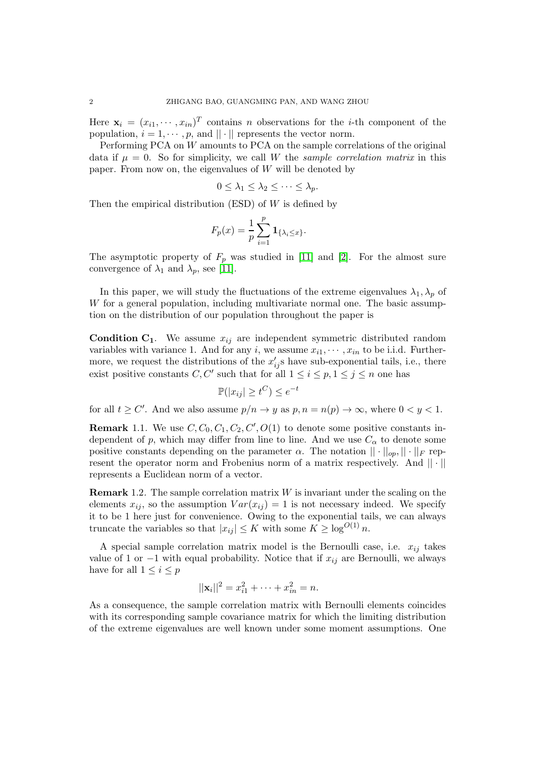Here  $\mathbf{x}_i = (x_{i1}, \dots, x_{in})^T$  contains *n* observations for the *i*-th component of the population,  $i = 1, \dots, p$ , and  $|| \cdot ||$  represents the vector norm.

Performing PCA on W amounts to PCA on the sample correlations of the original data if  $\mu = 0$ . So for simplicity, we call W the *sample correlation matrix* in this paper. From now on, the eigenvalues of  $W$  will be denoted by

$$
0\leq \lambda_1\leq \lambda_2\leq \cdots\leq \lambda_p.
$$

Then the empirical distribution  $(ESD)$  of W is defined by

$$
F_p(x) = \frac{1}{p} \sum_{i=1}^p \mathbf{1}_{\{\lambda_i \le x\}}.
$$

The asymptotic property of  $F_p$  was studied in [\[11\]](#page-33-1) and [\[2\]](#page-33-2). For the almost sure convergence of  $\lambda_1$  and  $\lambda_p$ , see [\[11\]](#page-33-1).

In this paper, we will study the fluctuations of the extreme eigenvalues  $\lambda_1, \lambda_p$  of W for a general population, including multivariate normal one. The basic assumption on the distribution of our population throughout the paper is

**Condition C<sub>1</sub>**. We assume  $x_{ij}$  are independent symmetric distributed random variables with variance 1. And for any i, we assume  $x_{i1}, \dots, x_{in}$  to be i.i.d. Furthermore, we request the distributions of the  $x'_{ij}$ s have sub-exponential tails, i.e., there exist positive constants  $C, C'$  such that for all  $1 \leq i \leq p, 1 \leq j \leq n$  one has

$$
\mathbb{P}(|x_{ij}| \ge t^C) \le e^{-t}
$$

for all  $t \ge C'$ . And we also assume  $p/n \to y$  as  $p, n = n(p) \to \infty$ , where  $0 < y < 1$ .

**Remark** 1.1. We use  $C, C_0, C_1, C_2, C', O(1)$  to denote some positive constants independent of p, which may differ from line to line. And we use  $C_{\alpha}$  to denote some positive constants depending on the parameter  $\alpha$ . The notation  $|| \cdot ||_{op}, || \cdot ||_F$  represent the operator norm and Frobenius norm of a matrix respectively. And  $|| \cdot ||$ represents a Euclidean norm of a vector.

**Remark** 1.2. The sample correlation matrix  $W$  is invariant under the scaling on the elements  $x_{ij}$ , so the assumption  $Var(x_{ij}) = 1$  is not necessary indeed. We specify it to be 1 here just for convenience. Owing to the exponential tails, we can always truncate the variables so that  $|x_{ij}| \leq K$  with some  $K \geq \log^{O(1)} n$ .

A special sample correlation matrix model is the Bernoulli case, i.e.  $x_{ij}$  takes value of 1 or −1 with equal probability. Notice that if  $x_{ij}$  are Bernoulli, we always have for all  $1 \leq i \leq p$ 

$$
||\mathbf{x}_i||^2 = x_{i1}^2 + \dots + x_{in}^2 = n.
$$

As a consequence, the sample correlation matrix with Bernoulli elements coincides with its corresponding sample covariance matrix for which the limiting distribution of the extreme eigenvalues are well known under some moment assumptions. One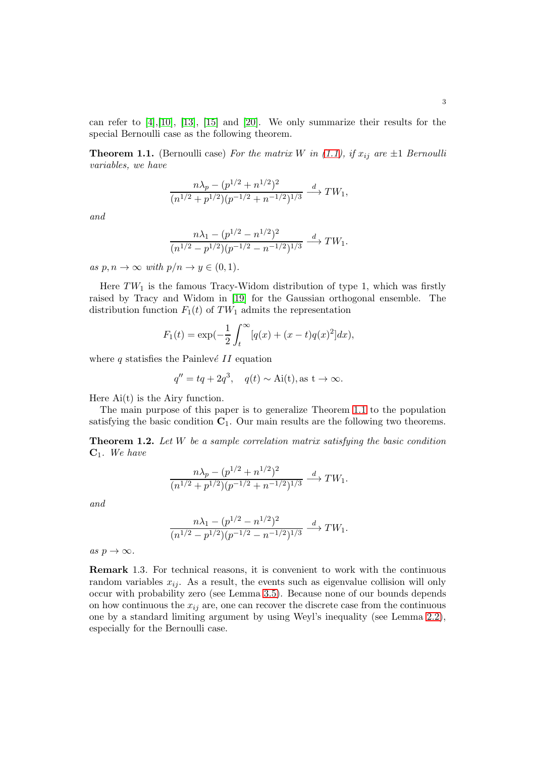can refer to  $[4]$ ,  $[10]$ ,  $[13]$ ,  $[15]$  and  $[20]$ . We only summarize their results for the special Bernoulli case as the following theorem.

<span id="page-2-0"></span>**Theorem 1.1.** (Bernoulli case) For the matrix W in [\(1.1\)](#page-0-0), if  $x_{ij}$  are  $\pm 1$  *Bernoulli variables, we have*

$$
\frac{n\lambda_p - (p^{1/2} + n^{1/2})^2}{(n^{1/2} + p^{1/2})(p^{-1/2} + n^{-1/2})^{1/3}} \xrightarrow{d} TW_1,
$$

*and*

$$
\frac{n\lambda_1 - (p^{1/2} - n^{1/2})^2}{(n^{1/2} - p^{1/2})(p^{-1/2} - n^{-1/2})^{1/3}} \xrightarrow{d} TW_1.
$$

*as*  $p, n \to \infty$  *with*  $p/n \to y \in (0, 1)$ *.* 

Here  $TW_1$  is the famous Tracy-Widom distribution of type 1, which was firstly raised by Tracy and Widom in [\[19\]](#page-34-1) for the Gaussian orthogonal ensemble. The distribution function  $F_1(t)$  of TW<sub>1</sub> admits the representation

$$
F_1(t) = \exp(-\frac{1}{2} \int_t^{\infty} [q(x) + (x - t)q(x)^2] dx),
$$

where  $q$  statisfies the Painlevé II equation

$$
q'' = tq + 2q^3, \quad q(t) \sim \text{Ai}(t), \text{as } t \to \infty.
$$

Here  $Ai(t)$  is the Airy function.

The main purpose of this paper is to generalize Theorem [1.1](#page-2-0) to the population satisfying the basic condition  $C_1$ . Our main results are the following two theorems.

<span id="page-2-1"></span>Theorem 1.2. *Let* W *be a sample correlation matrix satisfying the basic condition* C1*. We have*

$$
\frac{n\lambda_p - (p^{1/2} + n^{1/2})^2}{(n^{1/2} + p^{1/2})(p^{-1/2} + n^{-1/2})^{1/3}} \xrightarrow{d} TW_1.
$$

*and*

$$
\frac{n\lambda_1 - (p^{1/2} - n^{1/2})^2}{(n^{1/2} - p^{1/2})(p^{-1/2} - n^{-1/2})^{1/3}} \xrightarrow{d} TW_1.
$$

 $as p \rightarrow \infty$ .

Remark 1.3*.* For technical reasons, it is convenient to work with the continuous random variables  $x_{ij}$ . As a result, the events such as eigenvalue collision will only occur with probability zero (see Lemma [3.5\)](#page-12-0). Because none of our bounds depends on how continuous the  $x_{ij}$  are, one can recover the discrete case from the continuous one by a standard limiting argument by using Weyl's inequality (see Lemma [2.2\)](#page-4-0), especially for the Bernoulli case.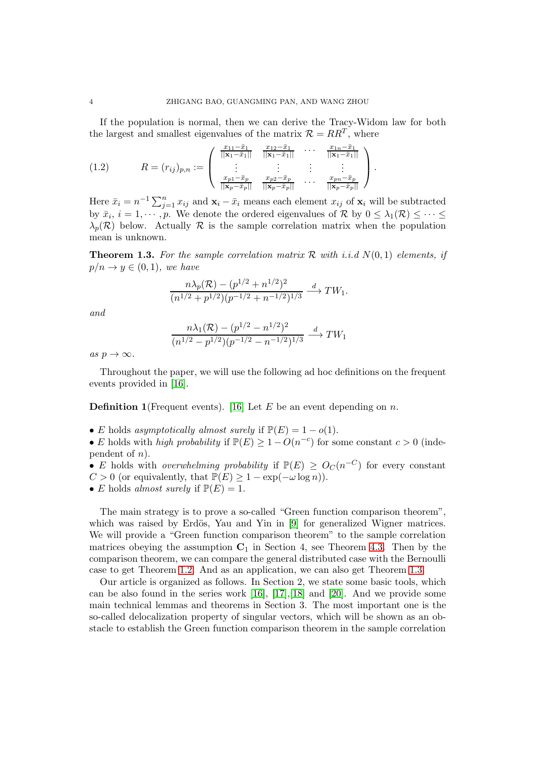If the population is normal, then we can derive the Tracy-Widom law for both the largest and smallest eigenvalues of the matrix  $\mathcal{R} = RR^T$ , where

(1.2) 
$$
R = (r_{ij})_{p,n} := \begin{pmatrix} \frac{x_{11} - \bar{x}_1}{||\mathbf{x}_1 - \bar{x}_1||} & \frac{x_{12} - \bar{x}_1}{||\mathbf{x}_1 - \bar{x}_1||} & \cdots & \frac{x_{1n} - \bar{x}_1}{||\mathbf{x}_1 - \bar{x}_1||} \\ \vdots & \vdots & \vdots & \vdots \\ \frac{x_{p1} - \bar{x}_p}{||\mathbf{x}_p - \bar{x}_p||} & \frac{x_{p2} - \bar{x}_p}{||\mathbf{x}_p - \bar{x}_p||} & \cdots & \frac{x_{pn} - \bar{x}_p}{||\mathbf{x}_p - \bar{x}_p||} \end{pmatrix}.
$$

Here  $\bar{x}_i = n^{-1} \sum_{j=1}^n x_{ij}$  and  $\mathbf{x}_i - \bar{x}_i$  means each element  $x_{ij}$  of  $\mathbf{x}_i$  will be subtracted by  $\bar{x}_i$ ,  $i = 1, \dots, p$ . We denote the ordered eigenvalues of  $\mathcal{R}$  by  $0 \leq \lambda_1(\mathcal{R}) \leq \dots \leq$  $\lambda_p(\mathcal{R})$  below. Actually  $\mathcal R$  is the sample correlation matrix when the population mean is unknown.

<span id="page-3-0"></span>**Theorem 1.3.** For the sample correlation matrix R with i.i.d  $N(0, 1)$  elements, if  $p/n \rightarrow y \in (0,1)$ *, we have* 

$$
\frac{n\lambda_p(\mathcal{R}) - (p^{1/2} + n^{1/2})^2}{(n^{1/2} + p^{1/2})(p^{-1/2} + n^{-1/2})^{1/3}} \xrightarrow{d} TW_1.
$$

*and*

$$
\frac{n\lambda_1(\mathcal{R}) - (p^{1/2} - n^{1/2})^2}{(n^{1/2} - p^{1/2})(p^{-1/2} - n^{-1/2})^{1/3}} \xrightarrow{d} TW_1
$$

 $as p \rightarrow \infty$ .

Throughout the paper, we will use the following ad hoc definitions on the frequent events provided in [\[16\]](#page-33-7).

**Definition 1** (Frequent events). [\[16\]](#page-33-7) Let E be an event depending on n.

• E holds *asymptotically almost surely* if  $\mathbb{P}(E) = 1 - o(1)$ .

• E holds with *high probability* if  $\mathbb{P}(E) \geq 1 - O(n^{-c})$  for some constant  $c > 0$  (independent of  $n$ ).

• E holds with *overwhelming probability* if  $\mathbb{P}(E) \geq O_{C}(n^{-C})$  for every constant  $C > 0$  (or equivalently, that  $\mathbb{P}(E) \geq 1 - \exp(-\omega \log n)$ ).

• *E* holds *almost surely* if  $\mathbb{P}(E) = 1$ .

The main strategy is to prove a so-called "Green function comparison theorem", which was raised by Erdös, Yau and Yin in  $[9]$  for generalized Wigner matrices. We will provide a "Green function comparison theorem" to the sample correlation matrices obeying the assumption  $C_1$  in Section 4, see Theorem [4.3.](#page-20-0) Then by the comparison theorem, we can compare the general distributed case with the Bernoulli case to get Theorem [1.2.](#page-2-1) And as an application, we can also get Theorem [1.3.](#page-3-0)

Our article is organized as follows. In Section 2, we state some basic tools, which can be also found in the series work  $[16]$ ,  $[17]$ ,  $[18]$  and  $[20]$ . And we provide some main technical lemmas and theorems in Section 3. The most important one is the so-called delocalization property of singular vectors, which will be shown as an obstacle to establish the Green function comparison theorem in the sample correlation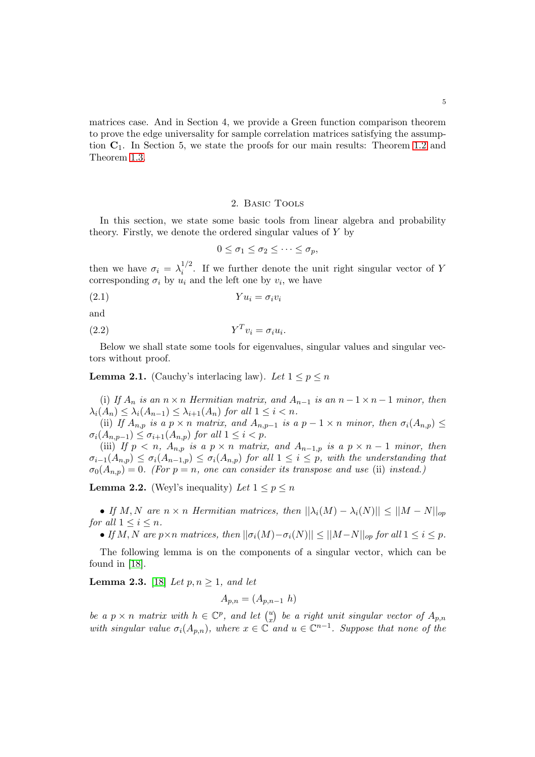matrices case. And in Section 4, we provide a Green function comparison theorem to prove the edge universality for sample correlation matrices satisfying the assumption  $C_1$ . In Section 5, we state the proofs for our main results: Theorem [1.2](#page-2-1) and Theorem [1.3.](#page-3-0)

### 2. Basic Tools

In this section, we state some basic tools from linear algebra and probability theory. Firstly, we denote the ordered singular values of Y by

$$
0 \leq \sigma_1 \leq \sigma_2 \leq \cdots \leq \sigma_p,
$$

then we have  $\sigma_i = \lambda_i^{1/2}$  $i^2$ . If we further denote the unit right singular vector of Y corresponding  $\sigma_i$  by  $u_i$  and the left one by  $v_i$ , we have

$$
(2.1) \t Yu_i = \sigma_i v_i
$$

and

$$
(2.2) \t\t Y^T v_i = \sigma_i u_i.
$$

Below we shall state some tools for eigenvalues, singular values and singular vectors without proof.

**Lemma 2.1.** (Cauchy's interlacing law). Let  $1 \leq p \leq n$ 

(i) *If*  $A_n$  *is an*  $n \times n$  *Hermitian matrix, and*  $A_{n-1}$  *is an*  $n-1 \times n-1$  *minor, then*  $\lambda_i(A_n) \leq \lambda_i(A_{n-1}) \leq \lambda_{i+1}(A_n)$  *for all*  $1 \leq i < n$ *.* 

(ii) *If*  $A_{n,p}$  *is a*  $p \times n$  *matrix, and*  $A_{n,p-1}$  *is a*  $p-1 \times n$  *minor, then*  $\sigma_i(A_{n,p}) \leq$  $\sigma_i(A_{n,p-1}) \leq \sigma_{i+1}(A_{n,p})$  *for all*  $1 \leq i < p$ *.* 

(iii) *If*  $p < n$ ,  $A_{n,p}$  *is a*  $p \times n$  *matrix, and*  $A_{n-1,p}$  *is a*  $p \times n-1$  *minor, then*  $\sigma_{i-1}(A_{n,p}) \leq \sigma_i(A_{n-1,p}) \leq \sigma_i(A_{n,p})$  *for all*  $1 \leq i \leq p$ *, with the understanding that*  $\sigma_0(A_{n,p}) = 0$ . (For  $p = n$ , one can consider its transpose and use (ii) instead.)

<span id="page-4-0"></span>**Lemma 2.2.** (Weyl's inequality) Let  $1 \leq p \leq n$ 

• *If*  $M, N$  are  $n \times n$  *Hermitian matrices, then*  $||\lambda_i(M) - \lambda_i(N)|| \leq ||M - N||_{op}$ *for all*  $1 \leq i \leq n$ *.* 

• *If* M, N are  $p \times n$  matrices, then  $||\sigma_i(M) - \sigma_i(N)|| \leq ||M-N||_{op}$  for all  $1 \leq i \leq p$ .

The following lemma is on the components of a singular vector, which can be found in [\[18\]](#page-34-2).

<span id="page-4-1"></span>**Lemma 2.3.** [\[18\]](#page-34-2) *Let*  $p, n \geq 1$ *, and let* 

$$
A_{p,n} = (A_{p,n-1} h)
$$

*be a*  $p \times n$  *matrix with*  $h \in \mathbb{C}^p$ *, and let*  $\binom{u}{x}$  $\binom{u}{x}$  be a right unit singular vector of  $A_{p,n}$ *with singular value*  $\sigma_i(A_{p,n})$ *, where*  $x \in \mathbb{C}$  *and*  $u \in \mathbb{C}^{n-1}$ *. Suppose that none of the*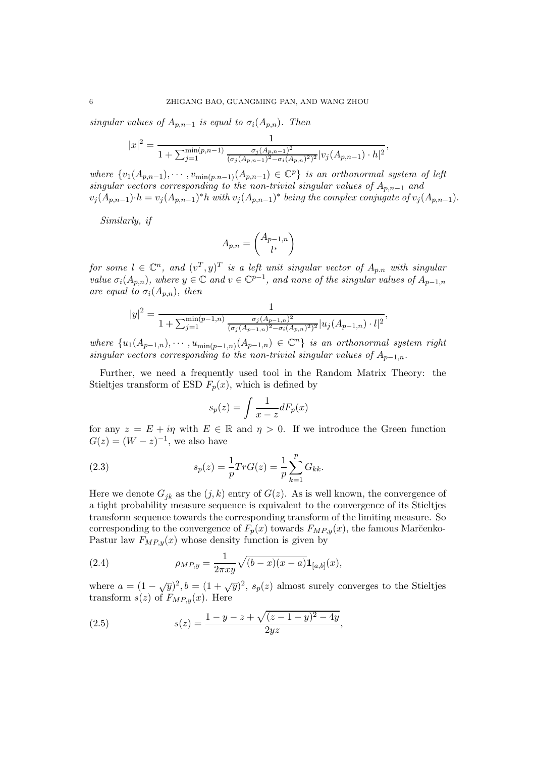*singular values of*  $A_{p,n-1}$  *is equal to*  $\sigma_i(A_{p,n})$ *. Then* 

$$
|x|^2 = \frac{1}{1 + \sum_{j=1}^{\min(p,n-1)} \frac{\sigma_j(A_{p,n-1})^2}{(\sigma_j(A_{p,n-1})^2 - \sigma_i(A_{p,n})^2)^2} |v_j(A_{p,n-1}) \cdot h|^2},
$$

*where*  $\{v_1(A_{p,n-1}), \cdots, v_{\min(p,n-1)}(A_{p,n-1}) \in \mathbb{C}^p\}$  *is an orthonormal system of left singular vectors corresponding to the non-trivial singular values of*  $A_{p,n-1}$  *and*  $v_j(A_{p,n-1})\cdot h = v_j(A_{p,n-1})^*h$  with  $v_j(A_{p,n-1})^*$  being the complex conjugate of  $v_j(A_{p,n-1})$ .

*Similarly, if*

$$
A_{p,n} = \begin{pmatrix} A_{p-1,n} \\ l^* \end{pmatrix}
$$

*for some*  $l \in \mathbb{C}^n$ , and  $(v^T, y)^T$  *is a left unit singular vector of*  $A_{p,n}$  *with singular value*  $\sigma_i(A_{p,n})$ *, where*  $y \in \mathbb{C}$  *and*  $v \in \mathbb{C}^{p-1}$ *, and none of the singular values of*  $A_{p-1,n}$ *are equal to*  $\sigma_i(A_{n,n})$ *, then* 

$$
|y|^2 = \frac{1}{1 + \sum_{j=1}^{\min(p-1,n)} \frac{\sigma_j(A_{p-1,n})^2}{(\sigma_j(A_{p-1,n})^2 - \sigma_i(A_{p,n})^2)^2} |u_j(A_{p-1,n}) \cdot l|^2},
$$

 $where \{u_1(A_{p-1,n}), \cdots, u_{\min(p-1,n)}(A_{p-1,n}) \in \mathbb{C}^n\}$  *is an orthonormal system right singular vectors corresponding to the non-trivial singular values of*  $A_{p-1,n}$ *.* 

Further, we need a frequently used tool in the Random Matrix Theory: the Stieltjes transform of ESD  $F_p(x)$ , which is defined by

<span id="page-5-0"></span>
$$
s_p(z) = \int \frac{1}{x - z} dF_p(x)
$$

for any  $z = E + i\eta$  with  $E \in \mathbb{R}$  and  $\eta > 0$ . If we introduce the Green function  $G(z) = (W - z)^{-1}$ , we also have

(2.3) 
$$
s_p(z) = \frac{1}{p} Tr G(z) = \frac{1}{p} \sum_{k=1}^p G_{kk}.
$$

Here we denote  $G_{jk}$  as the  $(j, k)$  entry of  $G(z)$ . As is well known, the convergence of a tight probability measure sequence is equivalent to the convergence of its Stieltjes transform sequence towards the corresponding transform of the limiting measure. So corresponding to the convergence of  $F_p(x)$  towards  $F_{MP,y}(x)$ , the famous Marčenko-Pastur law  $F_{MP,y}(x)$  whose density function is given by

(2.4) 
$$
\rho_{MP,y} = \frac{1}{2\pi xy} \sqrt{(b-x)(x-a)} \mathbf{1}_{[a,b]}(x),
$$

where  $a = (1 - \sqrt{y})^2$ ,  $b = (1 + \sqrt{y})^2$ ,  $s_p(z)$  almost surely converges to the Stieltjes transform  $s(z)$  of  $F_{MP,y}(x)$ . Here

(2.5) 
$$
s(z) = \frac{1 - y - z + \sqrt{(z - 1 - y)^2 - 4y}}{2yz},
$$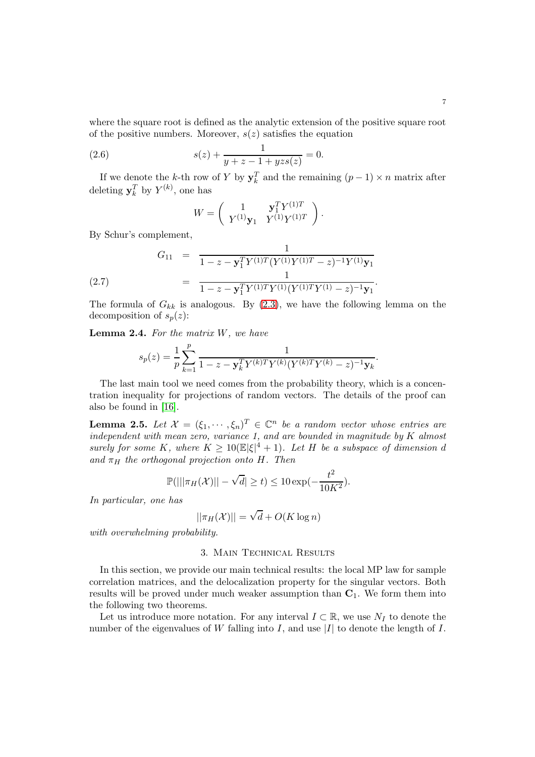where the square root is defined as the analytic extension of the positive square root of the positive numbers. Moreover,  $s(z)$  satisfies the equation

(2.6) 
$$
s(z) + \frac{1}{y+z-1+yzs(z)} = 0.
$$

If we denote the k-th row of Y by  $y_k^T$  and the remaining  $(p-1) \times n$  matrix after deleting  $y_k^T$  by  $Y^{(k)}$ , one has

<span id="page-6-2"></span><span id="page-6-0"></span>
$$
W = \left( \begin{array}{cc} 1 & \mathbf{y}_1^T Y^{(1)T} \\ Y^{(1)} \mathbf{y}_1 & Y^{(1)} Y^{(1)T} \end{array} \right).
$$

By Schur's complement,

(2.7) 
$$
G_{11} = \frac{1}{1 - z - \mathbf{y}_1^T Y^{(1)T} (Y^{(1)} Y^{(1)T} - z)^{-1} Y^{(1)} \mathbf{y}_1}
$$

$$
= \frac{1}{1 - z - \mathbf{y}_1^T Y^{(1)T} Y^{(1)} (Y^{(1)T} Y^{(1)} - z)^{-1} \mathbf{y}_1}.
$$

The formula of  $G_{kk}$  is analogous. By [\(2.3\)](#page-5-0), we have the following lemma on the decomposition of  $s_p(z)$ :

<span id="page-6-3"></span>Lemma 2.4. *For the matrix* W*, we have*

$$
s_p(z) = \frac{1}{p} \sum_{k=1}^p \frac{1}{1 - z - \mathbf{y}_k^T Y^{(k)T} Y^{(k)} (Y^{(k)T} Y^{(k)} - z)^{-1} \mathbf{y}_k}.
$$

The last main tool we need comes from the probability theory, which is a concentration inequality for projections of random vectors. The details of the proof can also be found in [\[16\]](#page-33-7).

<span id="page-6-1"></span>**Lemma 2.5.** Let  $\mathcal{X} = (\xi_1, \dots, \xi_n)^T \in \mathbb{C}^n$  be a random vector whose entries are *independent with mean zero, variance 1, and are bounded in magnitude by* K *almost surely for some* K, where  $K \geq 10 \times |\xi|^4 + 1$ . Let H be a subspace of dimension d *and*  $\pi_H$  *the orthogonal projection onto* H. Then

$$
\mathbb{P}(|||\pi_H(\mathcal{X})|| - \sqrt{d}| \ge t) \le 10 \exp(-\frac{t^2}{10K^2}).
$$

*In particular, one has*

$$
||\pi_H(\mathcal{X})|| = \sqrt{d} + O(K \log n)
$$

*with overwhelming probability.*

## 3. Main Technical Results

In this section, we provide our main technical results: the local MP law for sample correlation matrices, and the delocalization property for the singular vectors. Both results will be proved under much weaker assumption than  $C_1$ . We form them into the following two theorems.

Let us introduce more notation. For any interval  $I \subset \mathbb{R}$ , we use  $N_I$  to denote the number of the eigenvalues of W falling into I, and use |I| to denote the length of I.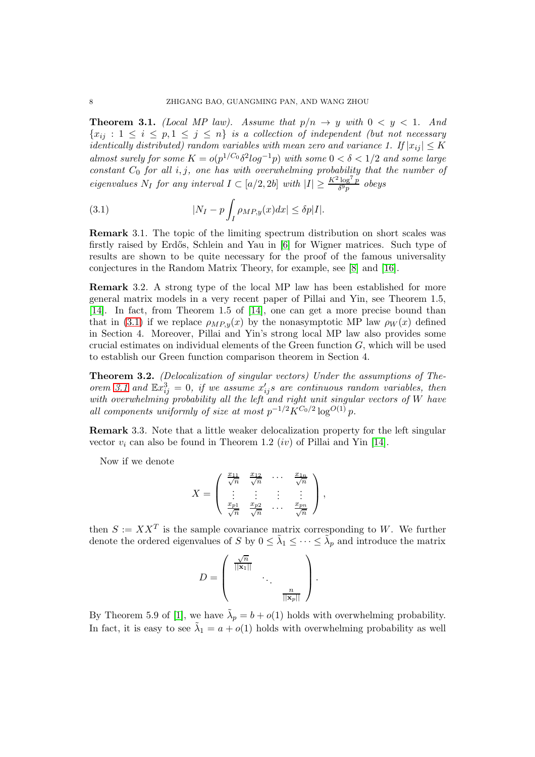<span id="page-7-1"></span>**Theorem 3.1.** *(Local MP law). Assume that*  $p/n \rightarrow y$  *with*  $0 \le y \le 1$ *. And*  ${x_{ij} : 1 \leq i \leq p, 1 \leq j \leq n}$  *is a collection of independent (but not necessary identically distributed) random variables with mean zero and variance 1.* If  $|x_{ij}| \leq K$ *almost surely for some*  $K = o(p^{1/C_0} \delta^2 log^{-1} p)$  *with some*  $0 < \delta < 1/2$  *and some large constant*  $C_0$  *for all*  $i, j$ *, one has with overwhelming probability that the number of eigenvalues*  $N_I$  *for any interval*  $I \subset [a/2, 2b]$  *with*  $|I| \geq \frac{K^2 \log^7 p}{\delta^9 p}$  $rac{\log^+ p}{\delta^9 p}$  obeys

<span id="page-7-0"></span>(3.1) 
$$
|N_I - p \int_I \rho_{MP,y}(x) dx| \leq \delta p |I|.
$$

Remark 3.1*.* The topic of the limiting spectrum distribution on short scales was firstly raised by Erdős, Schlein and Yau in [\[6\]](#page-33-10) for Wigner matrices. Such type of results are shown to be quite necessary for the proof of the famous universality conjectures in the Random Matrix Theory, for example, see [\[8\]](#page-33-11) and [\[16\]](#page-33-7).

Remark 3.2*.* A strong type of the local MP law has been established for more general matrix models in a very recent paper of Pillai and Yin, see Theorem 1.5, [\[14\]](#page-33-12). In fact, from Theorem 1.5 of [\[14\]](#page-33-12), one can get a more precise bound than that in [\(3.1\)](#page-7-0) if we replace  $\rho_{MP,y}(x)$  by the nonasymptotic MP law  $\rho_W(x)$  defined in Section 4. Moreover, Pillai and Yin's strong local MP law also provides some crucial estimates on individual elements of the Green function  $G$ , which will be used to establish our Green function comparison theorem in Section 4.

<span id="page-7-2"></span>Theorem 3.2. *(Delocalization of singular vectors) Under the assumptions of Theorem* [3.1](#page-7-1) and  $\mathbb{E}x_{ij}^3 = 0$ , if we assume  $x_{ij}'s$  are continuous random variables, then *with overwhelming probability all the left and right unit singular vectors of* W *have all components uniformly of size at most*  $p^{-1/2} K^{C_0/2} \log^{O(1)} p$ .

<span id="page-7-3"></span>Remark 3.3*.* Note that a little weaker delocalization property for the left singular vector  $v_i$  can also be found in Theorem 1.2 *(iv)* of Pillai and Yin [\[14\]](#page-33-12).

Now if we denote

$$
X = \begin{pmatrix} \frac{x_{11}}{\sqrt{n}} & \frac{x_{12}}{\sqrt{n}} & \cdots & \frac{x_{1n}}{\sqrt{n}} \\ \vdots & \vdots & \vdots & \vdots \\ \frac{x_{p1}}{\sqrt{n}} & \frac{x_{p2}}{\sqrt{n}} & \cdots & \frac{x_{pn}}{\sqrt{n}} \end{pmatrix},
$$

then  $S := XX^T$  is the sample covariance matrix corresponding to W. We further denote the ordered eigenvalues of S by  $0 \leq \tilde{\lambda}_1 \leq \cdots \leq \tilde{\lambda}_p$  and introduce the matrix

$$
D = \left( \begin{array}{ccc} \frac{\sqrt{n}}{||\mathbf{x}_1||} & & \\ & \ddots & \\ & & \frac{n}{||\mathbf{x}_p||} \end{array} \right).
$$

By Theorem 5.9 of [\[1\]](#page-33-13), we have  $\tilde{\lambda}_p = b + o(1)$  holds with overwhelming probability. In fact, it is easy to see  $\tilde{\lambda}_1 = a + o(1)$  holds with overwhelming probability as well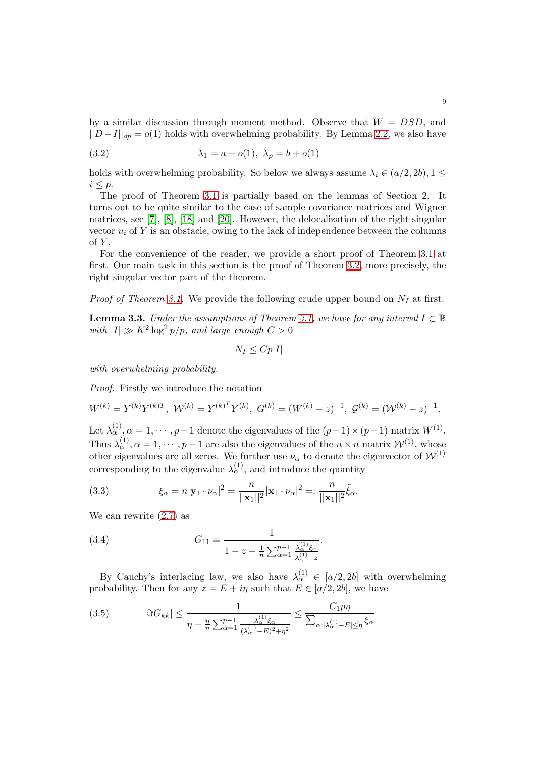by a similar discussion through moment method. Observe that  $W = DSD$ , and  $||D-I||_{op} = o(1)$  holds with overwhelming probability. By Lemma [2.2,](#page-4-0) we also have

(3.2) 
$$
\lambda_1 = a + o(1), \ \lambda_p = b + o(1)
$$

holds with overwhelming probability. So below we always assume  $\lambda_i \in (a/2, 2b), 1 \leq$  $i \leq p$ .

The proof of Theorem [3.1](#page-7-1) is partially based on the lemmas of Section 2. It turns out to be quite similar to the case of sample covariance matrices and Wigner matrices, see [\[7\]](#page-33-14), [\[8\]](#page-33-11), [\[18\]](#page-34-2) and [\[20\]](#page-34-0). However, the delocalization of the right singular vector  $u_i$  of Y is an obstacle, owing to the lack of independence between the columns of  $Y$ .

For the convenience of the reader, we provide a short proof of Theorem [3.1](#page-7-1) at first. Our main task in this section is the proof of Theorem [3.2,](#page-7-2) more precisely, the right singular vector part of the theorem.

*Proof of Theorem [3.1.](#page-7-1)* We provide the following crude upper bound on  $N_I$  at first.

<span id="page-8-1"></span>**Lemma 3.3.** *Under the assumptions of Theorem [3.1,](#page-7-1) we have for any interval*  $I \subset \mathbb{R}$  $with |I| \gg K^2 \log^2 p/p$ , and large enough  $C > 0$ 

$$
N_I \leq C p |I|
$$

*with overwhelming probability.*

*Proof.* Firstly we introduce the notation

$$
W^{(k)} = Y^{(k)}Y^{(k)T}, \ \mathcal{W}^{(k)} = Y^{(k)^T}Y^{(k)}, \ G^{(k)} = (W^{(k)} - z)^{-1}, \ \mathcal{G}^{(k)} = (\mathcal{W}^{(k)} - z)^{-1}.
$$

Let  $\lambda_{\alpha}^{(1)}, \alpha = 1, \cdots, p-1$  denote the eigenvalues of the  $(p-1) \times (p-1)$  matrix  $W^{(1)}$ . Thus  $\lambda_{\alpha}^{(1)}$ ,  $\alpha = 1, \cdots, p-1$  are also the eigenvalues of the  $n \times n$  matrix  $\mathcal{W}^{(1)}$ , whose other eigenvalues are all zeros. We further use  $\nu_{\alpha}$  to denote the eigenvector of  $\mathcal{W}^{(1)}$ corresponding to the eigenvalue  $\lambda_{\alpha}^{(1)}$ , and introduce the quantity

<span id="page-8-2"></span>(3.3) 
$$
\xi_{\alpha} = n|\mathbf{y}_{1} \cdot \nu_{\alpha}|^{2} = \frac{n}{||\mathbf{x}_{1}||^{2}}|\mathbf{x}_{1} \cdot \nu_{\alpha}|^{2} =: \frac{n}{||\mathbf{x}_{1}||^{2}}\tilde{\xi}_{\alpha}.
$$

We can rewrite [\(2.7\)](#page-6-0) as

<span id="page-8-3"></span>(3.4) 
$$
G_{11} = \frac{1}{1 - z - \frac{1}{n} \sum_{\alpha=1}^{p-1} \frac{\lambda_{\alpha}^{(1)} \xi_{\alpha}}{\lambda_{\alpha}^{(1)} - z}}.
$$

By Cauchy's interlacing law, we also have  $\lambda_{\alpha}^{(1)} \in [a/2, 2b]$  with overwhelming probability. Then for any  $z = E + i\eta$  such that  $E \in [a/2, 2b]$ , we have

<span id="page-8-0"></span>
$$
(3.5) \qquad |\Im G_{kk}| \le \frac{1}{\eta + \frac{\eta}{n} \sum_{\alpha=1}^{p-1} \frac{\lambda_{\alpha}^{(1)} \xi_{\alpha}}{(\lambda_{\alpha}^{(1)} - E)^2 + \eta^2}} \le \frac{C_1 p \eta}{\sum_{\alpha: |\lambda_{\alpha}^{(1)} - E| \le \eta} \xi_{\alpha}}
$$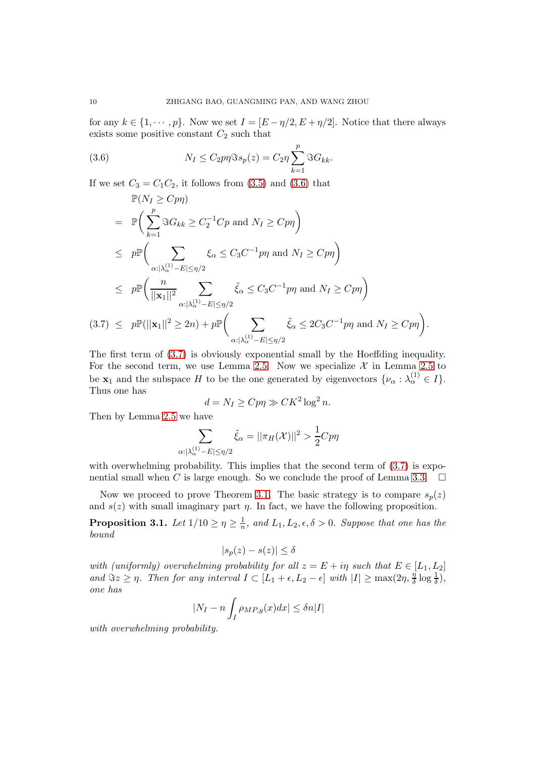for any  $k \in \{1, \dots, p\}$ . Now we set  $I = [E - \eta/2, E + \eta/2]$ . Notice that there always exists some positive constant  $C_2$  such that

<span id="page-9-0"></span>(3.6) 
$$
N_I \leq C_2 p \eta \Im s_p(z) = C_2 \eta \sum_{k=1}^p \Im G_{kk}.
$$

If we set  $C_3 = C_1 C_2$ , it follows from [\(3.5\)](#page-8-0) and [\(3.6\)](#page-9-0) that

<span id="page-9-1"></span>
$$
\mathbb{P}(N_I \geq Cpn) \n= \mathbb{P}\Big(\sum_{k=1}^p \Im G_{kk} \geq C_2^{-1}Cp \text{ and } N_I \geq Cpn\Big) \n\leq p\mathbb{P}\Big(\sum_{\alpha:|\lambda_{\alpha}^{(1)}-E|\leq \eta/2} \xi_{\alpha} \leq C_3C^{-1}p\eta \text{ and } N_I \geq Cpn\Big) \n\leq p\mathbb{P}\Big(\frac{n}{||\mathbf{x}_1||^2} \sum_{\alpha:|\lambda_{\alpha}^{(1)}-E|\leq \eta/2} \xi_{\alpha} \leq C_3C^{-1}p\eta \text{ and } N_I \geq Cpn\Big) \n(3.7) \leq p\mathbb{P}(||\mathbf{x}_1||^2 \geq 2n) + p\mathbb{P}\Big(\sum_{\alpha:|\lambda_{\alpha}^{(1)}-E|\leq \eta/2} \xi_{\alpha} \leq 2C_3C^{-1}p\eta \text{ and } N_I \geq Cpn\Big).
$$

The first term of [\(3.7\)](#page-9-1) is obviously exponential small by the Hoeffding inequality. For the second term, we use Lemma [2.5.](#page-6-1) Now we specialize  $\mathcal X$  in Lemma [2.5](#page-6-1) to be  $\mathbf{x}_1$  and the subspace H to be the one generated by eigenvectors  $\{\nu_\alpha : \lambda_\alpha^{(1)} \in I\}.$ Thus one has

$$
d = N_I \ge C p \eta \gg C K^2 \log^2 n.
$$

Then by Lemma [2.5](#page-6-1) we have

$$
\sum_{\alpha: |\lambda_{\alpha}^{(1)} - E| \le \eta/2} \tilde{\xi}_{\alpha} = ||\pi_H(\mathcal{X})||^2 > \frac{1}{2}Cp\eta
$$

with overwhelming probability. This implies that the second term of  $(3.7)$  is expo-nential small when C is large enough. So we conclude the proof of Lemma [3.3.](#page-8-1)  $\Box$ 

Now we proceed to prove Theorem [3.1.](#page-7-1) The basic strategy is to compare  $s_p(z)$ and  $s(z)$  with small imaginary part  $\eta$ . In fact, we have the following proposition.

<span id="page-9-2"></span>Proposition 3.1. Let  $1/10 \ge \eta \ge \frac{1}{n}$  $\frac{1}{n}$ , and  $L_1, L_2, \epsilon, \delta > 0$ . Suppose that one has the *bound*

$$
|s_p(z) - s(z)| \le \delta
$$

*with (uniformly) overwhelming probability for all*  $z = E + i\eta$  *such that*  $E \in [L_1, L_2]$ *and*  $\Im z \geq \eta$ . Then for any interval  $I \subset [L_1 + \epsilon, L_2 - \epsilon]$  with  $|I| \geq \max(2\eta, \frac{\eta}{\delta})$  $\frac{\eta}{\delta} \log \frac{1}{\delta}$ ), *one has*

$$
|N_I - n \int_I \rho_{MP,y}(x) dx| \le \delta n |I|
$$

*with overwhelming probability.*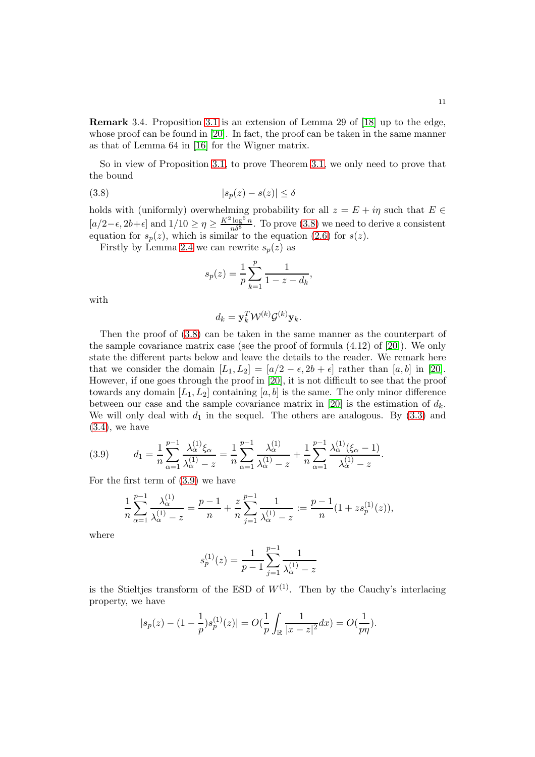Remark 3.4*.* Proposition [3.1](#page-9-2) is an extension of Lemma 29 of [\[18\]](#page-34-2) up to the edge, whose proof can be found in [\[20\]](#page-34-0). In fact, the proof can be taken in the same manner as that of Lemma 64 in [\[16\]](#page-33-7) for the Wigner matrix.

So in view of Proposition [3.1,](#page-9-2) to prove Theorem [3.1,](#page-7-1) we only need to prove that the bound

$$
(3.8) \t\t |s_p(z) - s(z)| \le \delta
$$

holds with (uniformly) overwhelming probability for all  $z = E + i\eta$  such that  $E \in$  $[a/2-\epsilon, 2b+\epsilon]$  and  $1/10 \ge \eta \ge \frac{K^2 \log^6 n}{n\delta^8}$ . To prove [\(3.8\)](#page-10-0) we need to derive a consistent equation for  $s_p(z)$ , which is similar to the equation [\(2.6\)](#page-6-2) for  $s(z)$ .

Firstly by Lemma [2.4](#page-6-3) we can rewrite  $s_p(z)$  as

<span id="page-10-0"></span>
$$
s_p(z) = \frac{1}{p} \sum_{k=1}^p \frac{1}{1 - z - d_k},
$$

with

$$
d_k = \mathbf{y}_k^T \mathcal{W}^{(k)} \mathcal{G}^{(k)} \mathbf{y}_k.
$$

Then the proof of [\(3.8\)](#page-10-0) can be taken in the same manner as the counterpart of the sample covariance matrix case (see the proof of formula (4.12) of [\[20\]](#page-34-0)). We only state the different parts below and leave the details to the reader. We remark here that we consider the domain  $[L_1, L_2] = [a/2 - \epsilon, 2b + \epsilon]$  rather than  $[a, b]$  in [\[20\]](#page-34-0). However, if one goes through the proof in [\[20\]](#page-34-0), it is not difficult to see that the proof towards any domain  $[L_1, L_2]$  containing  $[a, b]$  is the same. The only minor difference between our case and the sample covariance matrix in [\[20\]](#page-34-0) is the estimation of  $d_k$ . We will only deal with  $d_1$  in the sequel. The others are analogous. By  $(3.3)$  and  $(3.4)$ , we have

<span id="page-10-1"></span>
$$
(3.9) \t d_1 = \frac{1}{n} \sum_{\alpha=1}^{p-1} \frac{\lambda_{\alpha}^{(1)} \xi_{\alpha}}{\lambda_{\alpha}^{(1)} - z} = \frac{1}{n} \sum_{\alpha=1}^{p-1} \frac{\lambda_{\alpha}^{(1)}}{\lambda_{\alpha}^{(1)} - z} + \frac{1}{n} \sum_{\alpha=1}^{p-1} \frac{\lambda_{\alpha}^{(1)} (\xi_{\alpha} - 1)}{\lambda_{\alpha}^{(1)} - z}.
$$

For the first term of [\(3.9\)](#page-10-1) we have

$$
\frac{1}{n}\sum_{\alpha=1}^{p-1} \frac{\lambda_{\alpha}^{(1)}}{\lambda_{\alpha}^{(1)}-z} = \frac{p-1}{n} + \frac{z}{n}\sum_{j=1}^{p-1} \frac{1}{\lambda_{\alpha}^{(1)}-z} := \frac{p-1}{n}(1+zs_{p}^{(1)}(z)),
$$

where

$$
s_p^{(1)}(z) = \frac{1}{p-1} \sum_{j=1}^{p-1} \frac{1}{\lambda_{\alpha}^{(1)} - z}
$$

is the Stieltjes transform of the ESD of  $W^{(1)}$ . Then by the Cauchy's interlacing property, we have

$$
|s_p(z) - (1 - \frac{1}{p})s_p^{(1)}(z)| = O(\frac{1}{p} \int_{\mathbb{R}} \frac{1}{|x - z|^2} dx) = O(\frac{1}{p\eta}).
$$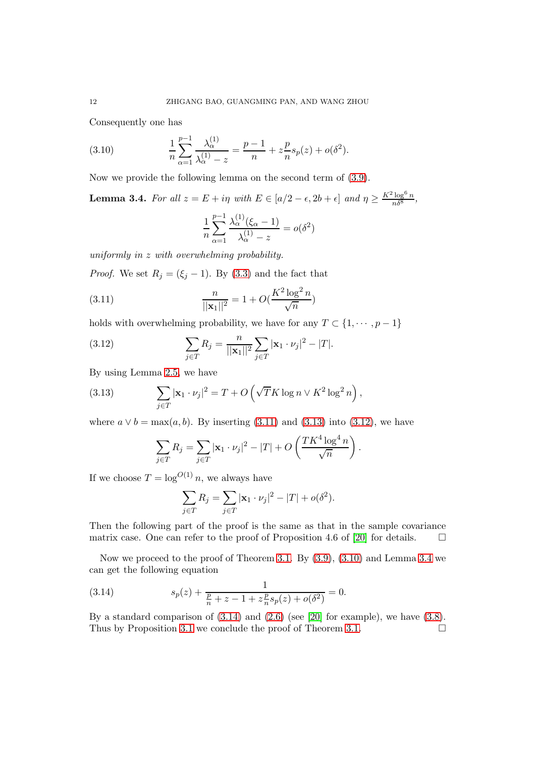Consequently one has

(3.10) 
$$
\frac{1}{n} \sum_{\alpha=1}^{p-1} \frac{\lambda_{\alpha}^{(1)}}{\lambda_{\alpha}^{(1)} - z} = \frac{p-1}{n} + z \frac{p}{n} s_p(z) + o(\delta^2).
$$

Now we provide the following lemma on the second term of [\(3.9\)](#page-10-1).

<span id="page-11-4"></span>**Lemma 3.4.** *For all*  $z = E + i\eta$  *with*  $E \in [a/2 - \epsilon, 2b + \epsilon]$  *and*  $\eta \ge \frac{K^2 \log^6 n}{n\delta^8}$ ,

<span id="page-11-3"></span><span id="page-11-0"></span>
$$
\frac{1}{n} \sum_{\alpha=1}^{p-1} \frac{\lambda_{\alpha}^{(1)}(\xi_{\alpha} - 1)}{\lambda_{\alpha}^{(1)} - z} = o(\delta^2)
$$

*uniformly in* z *with overwhelming probability.*

*Proof.* We set  $R_j = (\xi_j - 1)$ . By [\(3.3\)](#page-8-2) and the fact that

(3.11) 
$$
\frac{n}{||\mathbf{x}_1||^2} = 1 + O(\frac{K^2 \log^2 n}{\sqrt{n}})
$$

holds with overwhelming probability, we have for any  $T \subset \{1, \dots, p-1\}$ 

<span id="page-11-2"></span>(3.12) 
$$
\sum_{j \in T} R_j = \frac{n}{||\mathbf{x}_1||^2} \sum_{j \in T} |\mathbf{x}_1 \cdot \nu_j|^2 - |T|.
$$

By using Lemma [2.5,](#page-6-1) we have

(3.13) 
$$
\sum_{j\in T} |\mathbf{x}_1 \cdot \nu_j|^2 = T + O\left(\sqrt{T}K \log n \vee K^2 \log^2 n\right),
$$

where  $a \vee b = \max(a, b)$ . By inserting [\(3.11\)](#page-11-0) and [\(3.13\)](#page-11-1) into [\(3.12\)](#page-11-2), we have

<span id="page-11-1"></span>
$$
\sum_{j\in T} R_j = \sum_{j\in T} |\mathbf{x}_1 \cdot \nu_j|^2 - |T| + O\left(\frac{T K^4 \log^4 n}{\sqrt{n}}\right).
$$

If we choose  $T = \log^{O(1)} n$ , we always have

$$
\sum_{j \in T} R_j = \sum_{j \in T} |\mathbf{x}_1 \cdot \nu_j|^2 - |T| + o(\delta^2).
$$

Then the following part of the proof is the same as that in the sample covariance matrix case. One can refer to the proof of Proposition 4.6 of [\[20\]](#page-34-0) for details.  $\Box$ 

Now we proceed to the proof of Theorem [3.1.](#page-7-1) By [\(3.9\)](#page-10-1), [\(3.10\)](#page-11-3) and Lemma [3.4](#page-11-4) we can get the following equation

<span id="page-11-5"></span>(3.14) 
$$
s_p(z) + \frac{1}{\frac{p}{n} + z - 1 + z_n^p s_p(z) + o(\delta^2)} = 0.
$$

By a standard comparison of  $(3.14)$  and  $(2.6)$  (see [\[20\]](#page-34-0) for example), we have  $(3.8)$ . Thus by Proposition [3.1](#page-9-2) we conclude the proof of Theorem [3.1.](#page-7-1)  $\Box$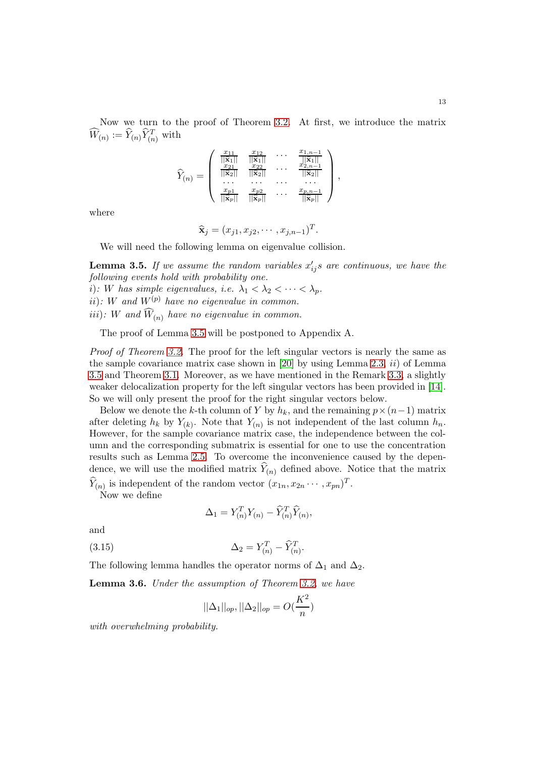Now we turn to the proof of Theorem [3.2.](#page-7-2) At first, we introduce the matrix  $\widehat{W}_{(n)} := \widehat{Y}_{(n)} \widehat{Y}_{(n)}^T$  with

$$
\widehat{Y}_{(n)} = \begin{pmatrix}\n\frac{x_{11}}{||\widehat{\mathbf{x}}_1||} & \frac{x_{12}}{||\widehat{\mathbf{x}}_1||} & \cdots & \frac{x_{1,n-1}}{||\widehat{\mathbf{x}}_1||} \\
\frac{x_{21}}{||\widehat{\mathbf{x}}_2||} & \frac{x_{22}}{||\widehat{\mathbf{x}}_2||} & \cdots & \frac{x_{2,n-1}}{||\widehat{\mathbf{x}}_2||} \\
\cdots & \cdots & \cdots & \cdots \\
\frac{x_{p1}}{||\widehat{\mathbf{x}}_p||} & \frac{x_{p2}}{||\widehat{\mathbf{x}}_p||} & \cdots & \frac{x_{p,n-1}}{||\widehat{\mathbf{x}}_p||}\n\end{pmatrix},
$$

where

$$
\widehat{\mathbf{x}}_j=(x_{j1},x_{j2},\cdots,x_{j,n-1})^T.
$$

We will need the following lemma on eigenvalue collision.

<span id="page-12-0"></span>**Lemma 3.5.** If we assume the random variables  $x'_{ij}s$  are continuous, we have the *following events hold with probability one.* i): W has simple eigenvalues, i.e.  $\lambda_1 < \lambda_2 < \cdots < \lambda_p$ . ii): W and  $W^{(p)}$  have no eigenvalue in common. iii): W and  $\widehat{W}_{(n)}$  have no eigenvalue in common.

The proof of Lemma [3.5](#page-12-0) will be postponed to Appendix A.

*Proof of Theorem [3.2.](#page-7-2)* The proof for the left singular vectors is nearly the same as the sample covariance matrix case shown in [\[20\]](#page-34-0) by using Lemma [2.3,](#page-4-1) *ii*) of Lemma [3.5](#page-12-0) and Theorem [3.1.](#page-7-1) Moreover, as we have mentioned in the Remark [3.3,](#page-7-3) a slightly weaker delocalization property for the left singular vectors has been provided in [\[14\]](#page-33-12). So we will only present the proof for the right singular vectors below.

Below we denote the k-th column of Y by  $h_k$ , and the remaining  $p \times (n-1)$  matrix after deleting  $h_k$  by  $Y_{(k)}$ . Note that  $Y_{(n)}$  is not independent of the last column  $h_n$ . However, for the sample covariance matrix case, the independence between the column and the corresponding submatrix is essential for one to use the concentration results such as Lemma [2.5.](#page-6-1) To overcome the inconvenience caused by the dependence, we will use the modified matrix  $Y_{(n)}$  defined above. Notice that the matrix  $\hat{Y}_{(n)}$  is independent of the random vector  $(x_{1n}, x_{2n} \cdots, x_{pn})^T$ .

Now we define

<span id="page-12-2"></span>
$$
\Delta_1 = Y_{(n)}^T Y_{(n)} - \widehat{Y}_{(n)}^T \widehat{Y}_{(n)},
$$

and

(3.15) 
$$
\Delta_2 = Y_{(n)}^T - \widehat{Y}_{(n)}^T.
$$

The following lemma handles the operator norms of  $\Delta_1$  and  $\Delta_2$ .

<span id="page-12-1"></span>Lemma 3.6. *Under the assumption of Theorem [3.2,](#page-7-2) we have*

$$
||\Delta_1||_{op}, ||\Delta_2||_{op} = O(\frac{K^2}{n})
$$

*with overwhelming probability.*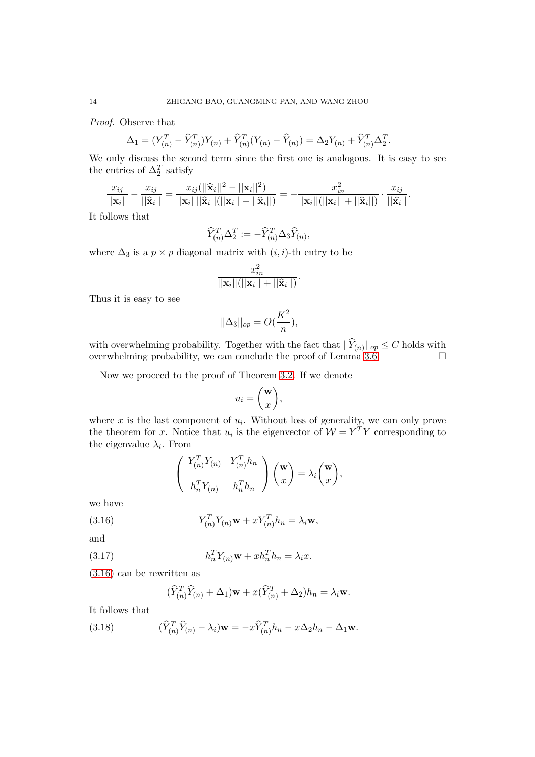*Proof.* Observe that

$$
\Delta_1 = (Y_{(n)}^T - \widehat{Y}_{(n)}^T)Y_{(n)} + \widehat{Y}_{(n)}^T(Y_{(n)} - \widehat{Y}_{(n)}) = \Delta_2 Y_{(n)} + \widehat{Y}_{(n)}^T \Delta_2^T.
$$

We only discuss the second term since the first one is analogous. It is easy to see the entries of  $\Delta_2^T$  satisfy

$$
\frac{x_{ij}}{||\mathbf{x}_i||}-\frac{x_{ij}}{||\widehat{\mathbf{x}}_i||}=\frac{x_{ij}(||\widehat{\mathbf{x}}_i||^2-||\mathbf{x}_i||^2)}{||\mathbf{x}_i||||\widehat{\mathbf{x}}_i||(||\mathbf{x}_i||+||\widehat{\mathbf{x}}_i||)}=-\frac{x_{in}^2}{||\mathbf{x}_i||(||\mathbf{x}_i||+||\widehat{\mathbf{x}}_i||)}\cdot\frac{x_{ij}}{||\widehat{\mathbf{x}}_i||}.
$$

It follows that

$$
\widehat{Y}_{(n)}^T \Delta_2^T := -\widehat{Y}_{(n)}^T \Delta_3 \widehat{Y}_{(n)},
$$

where  $\Delta_3$  is a  $p \times p$  diagonal matrix with  $(i, i)$ -th entry to be

$$
\frac{x_{in}^2}{||\mathbf{x}_i||(||\mathbf{x}_i|| + ||\widehat{\mathbf{x}}_i||)}.
$$

Thus it is easy to see

$$
||\Delta_3||_{op} = O(\frac{K^2}{n}),
$$

with overwhelming probability. Together with the fact that  $||Y_{(n)}||_{op} \leq C$  holds with overwhelming probability, we can conclude the proof of Lemma [3.6.](#page-12-1)  $\Box$ 

Now we proceed to the proof of Theorem [3.2.](#page-7-2) If we denote

$$
u_i = \binom{\mathbf{w}}{x},
$$

where  $x$  is the last component of  $u_i$ . Without loss of generality, we can only prove the theorem for x. Notice that  $u_i$  is the eigenvector of  $\mathcal{W} = Y^T Y$  corresponding to the eigenvalue  $\lambda_i$ . From

<span id="page-13-0"></span>
$$
\begin{pmatrix} Y_{(n)}^T Y_{(n)} & Y_{(n)}^T h_n \\ h_n^T Y_{(n)} & h_n^T h_n \end{pmatrix} \begin{pmatrix} \mathbf{w} \\ x \end{pmatrix} = \lambda_i \begin{pmatrix} \mathbf{w} \\ x \end{pmatrix},
$$

we have

(3.16) 
$$
Y_{(n)}^T Y_{(n)} \mathbf{w} + x Y_{(n)}^T h_n = \lambda_i \mathbf{w},
$$

and

(3.17) 
$$
h_n^T Y_{(n)} \mathbf{w} + x h_n^T h_n = \lambda_i x.
$$

[\(3.16\)](#page-13-0) can be rewritten as

<span id="page-13-2"></span><span id="page-13-1"></span>
$$
(\widehat{Y}_{(n)}^T \widehat{Y}_{(n)} + \Delta_1) \mathbf{w} + x(\widehat{Y}_{(n)}^T + \Delta_2) h_n = \lambda_i \mathbf{w}.
$$

It follows that

(3.18) 
$$
(\widehat{Y}_{(n)}^T \widehat{Y}_{(n)} - \lambda_i) \mathbf{w} = -x \widehat{Y}_{(n)}^T h_n - x \Delta_2 h_n - \Delta_1 \mathbf{w}.
$$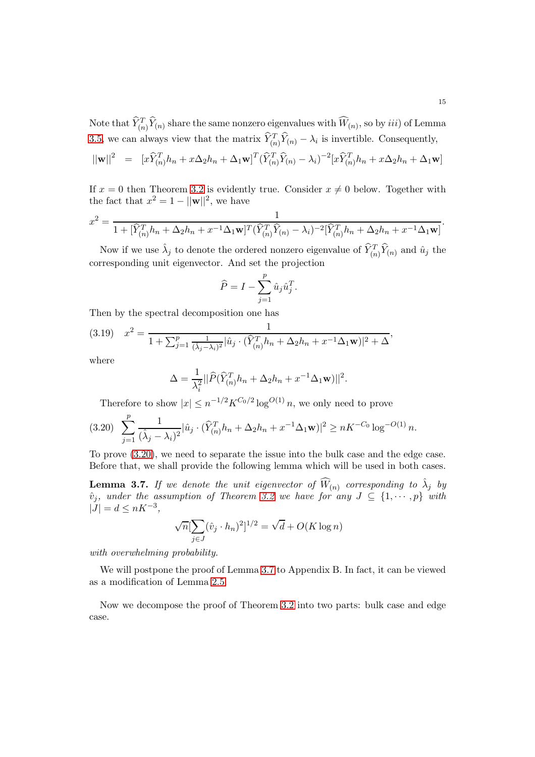Note that  $\widehat{Y}_{(n)}^T \widehat{Y}_{(n)}$  share the same nonzero eigenvalues with  $\widehat{W}_{(n)}$ , so by  $iii)$  of Lemma [3.5,](#page-12-0) we can always view that the matrix  $\hat{Y}_{(n)}^T \hat{Y}_{(n)} - \lambda_i$  is invertible. Consequently,

$$
||\mathbf{w}||^2 = [x\widehat{Y}_{(n)}^T h_n + x\Delta_2 h_n + \Delta_1 \mathbf{w}]^T (\widehat{Y}_{(n)}^T \widehat{Y}_{(n)} - \lambda_i)^{-2} [x\widehat{Y}_{(n)}^T h_n + x\Delta_2 h_n + \Delta_1 \mathbf{w}]
$$

If  $x = 0$  then Theorem [3.2](#page-7-2) is evidently true. Consider  $x \neq 0$  below. Together with the fact that  $x^2 = 1 - ||\mathbf{w}||^2$ , we have

$$
x^{2} = \frac{1}{1 + [\hat{Y}_{(n)}^{T}h_{n} + \Delta_{2}h_{n} + x^{-1}\Delta_{1}\mathbf{w}]^{T}(\hat{Y}_{(n)}^{T}\hat{Y}_{(n)} - \lambda_{i})^{-2}[\hat{Y}_{(n)}^{T}h_{n} + \Delta_{2}h_{n} + x^{-1}\Delta_{1}\mathbf{w}]}.
$$

Now if we use  $\hat{\lambda}_j$  to denote the ordered nonzero eigenvalue of  $\widehat{Y}_{(n)}^T \widehat{Y}_{(n)}$  and  $\hat{u}_j$  the corresponding unit eigenvector. And set the projection

$$
\widehat{P} = I - \sum_{j=1}^{p} \hat{u}_j \hat{u}_j^T.
$$

Then by the spectral decomposition one has

<span id="page-14-2"></span>
$$
(3.19) \quad x^2 = \frac{1}{1 + \sum_{j=1}^p \frac{1}{(\hat{\lambda}_j - \lambda_i)^2} |\hat{u}_j \cdot (\hat{Y}_{(n)}^T h_n + \Delta_2 h_n + x^{-1} \Delta_1 \mathbf{w})|^2 + \Delta},
$$

where

$$
\Delta = \frac{1}{\lambda_i^2} ||\widehat{P}(\widehat{Y}_{(n)}^T h_n + \Delta_2 h_n + x^{-1} \Delta_1 \mathbf{w})||^2.
$$

Therefore to show  $|x| \leq n^{-1/2} K^{C_0/2} \log^{O(1)} n$ , we only need to prove

<span id="page-14-0"></span>
$$
(3.20) \sum_{j=1}^p \frac{1}{(\hat{\lambda}_j - \lambda_i)^2} |\hat{u}_j \cdot (\hat{Y}_{(n)}^T h_n + \Delta_2 h_n + x^{-1} \Delta_1 \mathbf{w})|^2 \ge nK^{-C_0} \log^{-O(1)} n.
$$

To prove [\(3.20\)](#page-14-0), we need to separate the issue into the bulk case and the edge case. Before that, we shall provide the following lemma which will be used in both cases.

<span id="page-14-1"></span>**Lemma 3.7.** If we denote the unit eigenvector of  $\widehat{W}_{(n)}$  corresponding to  $\hat{\lambda}_j$  by  $\hat{v}_j$ , under the assumption of Theorem [3.2](#page-7-2) we have for any  $J \subseteq \{1, \dots, p\}$  with  $|J| = d \leq nK^{-3}$ ,

$$
\sqrt{n}[\sum_{j\in J}(\hat{v}_j \cdot h_n)^2]^{1/2} = \sqrt{d} + O(K \log n)
$$

*with overwhelming probability.*

We will postpone the proof of Lemma [3.7](#page-14-1) to Appendix B. In fact, it can be viewed as a modification of Lemma [2.5.](#page-6-1)

Now we decompose the proof of Theorem [3.2](#page-7-2) into two parts: bulk case and edge case.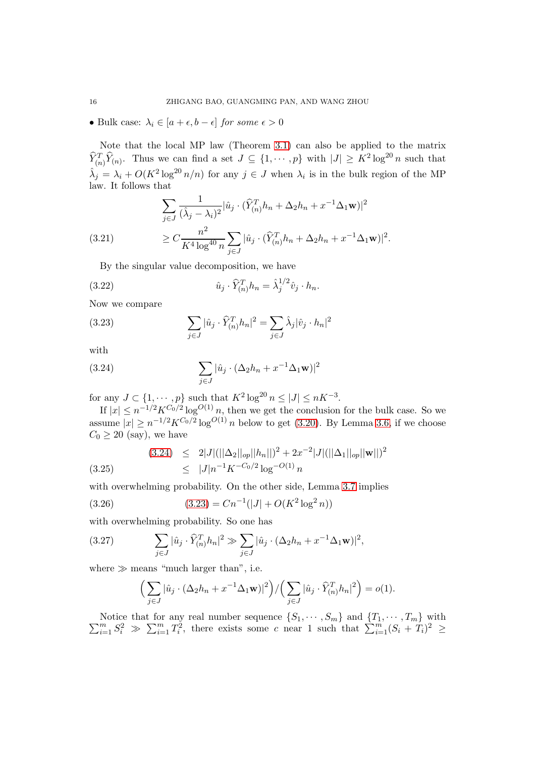• Bulk case:  $\lambda_i \in [a + \epsilon, b - \epsilon]$  *for some*  $\epsilon > 0$ 

Note that the local MP law (Theorem [3.1\)](#page-7-1) can also be applied to the matrix  $\widehat{Y}_{(n)}^T \widehat{Y}_{(n)}$ . Thus we can find a set  $J \subseteq \{1, \cdots, p\}$  with  $|J| \geq K^2 \log^{20} n$  such that  $\hat{\lambda}_j = \lambda_i + O(K^2 \log^{20} n/n)$  for any  $j \in J$  when  $\lambda_i$  is in the bulk region of the MP law. It follows that

<span id="page-15-4"></span>
$$
\sum_{j \in J} \frac{1}{(\hat{\lambda}_j - \lambda_i)^2} |\hat{u}_j \cdot (\hat{Y}_{(n)}^T h_n + \Delta_2 h_n + x^{-1} \Delta_1 \mathbf{w})|^2
$$
  
(3.21)  

$$
\geq C \frac{n^2}{K^4 \log^{40} n} \sum_{j \in J} |\hat{u}_j \cdot (\hat{Y}_{(n)}^T h_n + \Delta_2 h_n + x^{-1} \Delta_1 \mathbf{w})|^2.
$$

<span id="page-15-6"></span>By the singular value decomposition, we have

(3.22) 
$$
\hat{u}_j \cdot \hat{Y}_{(n)}^T h_n = \hat{\lambda}_j^{1/2} \hat{v}_j \cdot h_n.
$$

Now we compare

<span id="page-15-1"></span>(3.23) 
$$
\sum_{j \in J} |\hat{u}_j \cdot \hat{Y}_{(n)}^T h_n|^2 = \sum_{j \in J} \hat{\lambda}_j |\hat{v}_j \cdot h_n|^2
$$

with

<span id="page-15-0"></span>(3.24) 
$$
\sum_{j\in J} |\hat{u}_j \cdot (\Delta_2 h_n + x^{-1} \Delta_1 \mathbf{w})|^2
$$

for any  $J \subset \{1, \dots, p\}$  such that  $K^2 \log^{20} n \leq |J| \leq nK^{-3}$ .

If  $|x| \leq n^{-1/2} K^{C_0/2} \log^{O(1)} n$ , then we get the conclusion for the bulk case. So we assume  $|x| \ge n^{-1/2} K^{C_0/2} \log^{O(1)} n$  below to get [\(3.20\)](#page-14-0). By Lemma [3.6,](#page-12-1) if we choose  $C_0 \geq 20$  (say), we have

<span id="page-15-5"></span>(3.24) 
$$
\leq 2|J|(||\Delta_2||_{op}||h_n||)^2 + 2x^{-2}|J|(||\Delta_1||_{op}||\mathbf{w}||)^2
$$
  
 $\leq |J|n^{-1}K^{-C_0/2}\log^{-O(1)}n$ 

with overwhelming probability. On the other side, Lemma [3.7](#page-14-1) implies

(3.26) 
$$
(3.23) = Cn^{-1}(|J| + O(K^2 \log^2 n))
$$

with overwhelming probability. So one has

(3.27) 
$$
\sum_{j\in J} |\hat{u}_j \cdot \widehat{Y}_{(n)}^T h_n|^2 \gg \sum_{j\in J} |\hat{u}_j \cdot (\Delta_2 h_n + x^{-1} \Delta_1 \mathbf{w})|^2,
$$

where  $\gg$  means "much larger than", i.e.

<span id="page-15-3"></span><span id="page-15-2"></span>
$$
\left(\sum_{j\in J}|\hat{u}_j\cdot(\Delta_2 h_n + x^{-1}\Delta_1 \mathbf{w})|^2\right) / \left(\sum_{j\in J}|\hat{u}_j\cdot \widehat{Y}_{(n)}^T h_n|^2\right) = o(1).
$$

Notice that for any real number sequence  $\{S_1, \dots, S_m\}$  and  $\{T_1, \dots, T_m\}$  with  $\sum_{i=1}^m S_i^2 \gg \sum_{i=1}^m T_i^2$ , there exists some c near 1 such that  $\sum_{i=1}^m (S_i + T_i)^2 \ge$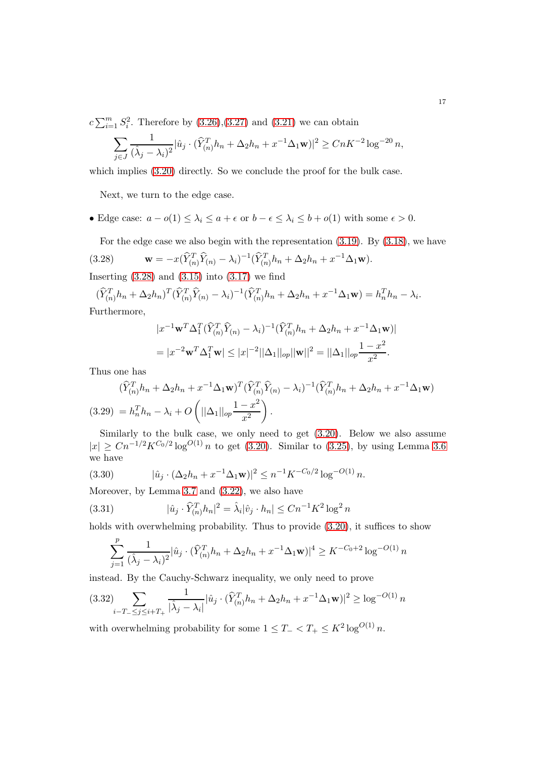$c \sum_{i=1}^{m} S_i^2$ . Therefore by  $(3.26),(3.27)$  $(3.26),(3.27)$  and  $(3.21)$  we can obtain

$$
\sum_{j \in J} \frac{1}{(\hat{\lambda}_j - \lambda_i)^2} |\hat{u}_j \cdot (\hat{Y}_{(n)}^T h_n + \Delta_2 h_n + x^{-1} \Delta_1 \mathbf{w})|^2 \ge C n K^{-2} \log^{-20} n,
$$

which implies  $(3.20)$  directly. So we conclude the proof for the bulk case.

Next, we turn to the edge case.

• Edge case:  $a - o(1) \leq \lambda_i \leq a + \epsilon$  or  $b - \epsilon \leq \lambda_i \leq b + o(1)$  with some  $\epsilon > 0$ .

<span id="page-16-0"></span>For the edge case we also begin with the representation [\(3.19\)](#page-14-2). By [\(3.18\)](#page-13-1), we have

(3.28) 
$$
\mathbf{w} = -x(\widehat{Y}_{(n)}^T \widehat{Y}_{(n)} - \lambda_i)^{-1} (\widehat{Y}_{(n)}^T h_n + \Delta_2 h_n + x^{-1} \Delta_1 \mathbf{w}).
$$

Inserting  $(3.28)$  and  $(3.15)$  into  $(3.17)$  we find

 $(\widehat{Y}_{(n)}^T h_n + \Delta_2 h_n)^T (\widehat{Y}_{(n)}^T \widehat{Y}_{(n)} - \lambda_i)^{-1} (\widehat{Y}_{(n)}^T h_n + \Delta_2 h_n + x^{-1} \Delta_1 \mathbf{w}) = h_n^T h_n - \lambda_i.$ Furthermore,

$$
|x^{-1}\mathbf{w}^T\Delta_1^T(\widehat{Y}_{(n)}^T\widehat{Y}_{(n)} - \lambda_i)^{-1}(\widehat{Y}_{(n)}^T h_n + \Delta_2 h_n + x^{-1}\Delta_1 \mathbf{w})|
$$
  
= 
$$
|x^{-2}\mathbf{w}^T\Delta_1^T \mathbf{w}| \le |x|^{-2}||\Delta_1||_{op}||\mathbf{w}||^2 = ||\Delta_1||_{op} \frac{1-x^2}{x^2}.
$$

Thus one has

<span id="page-16-1"></span>
$$
(\widehat{Y}_{(n)}^T h_n + \Delta_2 h_n + x^{-1} \Delta_1 \mathbf{w})^T (\widehat{Y}_{(n)}^T \widehat{Y}_{(n)} - \lambda_i)^{-1} (\widehat{Y}_{(n)}^T h_n + \Delta_2 h_n + x^{-1} \Delta_1 \mathbf{w})
$$
  
(3.29) =  $h_n^T h_n - \lambda_i + O\left(||\Delta_1||_{op} \frac{1 - x^2}{x^2}\right)$ .

Similarly to the bulk case, we only need to get [\(3.20\)](#page-14-0). Below we also assume  $|x| \geq C n^{-1/2} K^{C_0/2} \log^{O(1)} n$  to get [\(3.20\)](#page-14-0). Similar to [\(3.25\)](#page-15-5), by using Lemma [3.6](#page-12-1) we have

<span id="page-16-3"></span>(3.30) 
$$
|\hat{u}_j \cdot (\Delta_2 h_n + x^{-1} \Delta_1 \mathbf{w})|^2 \le n^{-1} K^{-C_0/2} \log^{-O(1)} n.
$$

Moreover, by Lemma [3.7](#page-14-1) and [\(3.22\)](#page-15-6), we also have

(3.31) 
$$
|\hat{u}_j \cdot \hat{Y}_{(n)}^T h_n|^2 = \hat{\lambda}_i |\hat{v}_j \cdot h_n| \le C n^{-1} K^2 \log^2 n
$$

holds with overwhelming probability. Thus to provide  $(3.20)$ , it suffices to show

<span id="page-16-4"></span>
$$
\sum_{j=1}^{p} \frac{1}{(\hat{\lambda}_j - \lambda_i)^2} |\hat{u}_j \cdot (\hat{Y}_{(n)}^T h_n + \Delta_2 h_n + x^{-1} \Delta_1 \mathbf{w})|^4 \ge K^{-C_0 + 2} \log^{-O(1)} n
$$

instead. By the Cauchy-Schwarz inequality, we only need to prove

<span id="page-16-2"></span>
$$
(3.32)\sum_{i-T_{-} \leq j \leq i+T_{+}} \frac{1}{|\hat{\lambda}_{j} - \lambda_{i}|} |\hat{u}_{j} \cdot (\widehat{Y}_{(n)}^{T} h_{n} + \Delta_{2} h_{n} + x^{-1} \Delta_{1} \mathbf{w})|^{2} \geq \log^{-O(1)} n
$$

with overwhelming probability for some  $1 \leq T_{-} < T_{+} \leq K^{2} \log^{O(1)} n$ .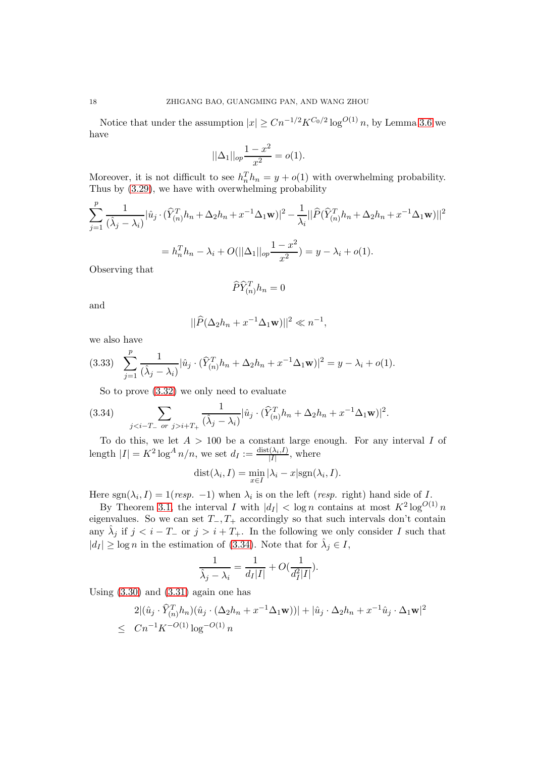Notice that under the assumption  $|x| \geq C n^{-1/2} K^{C_0/2} \log^{O(1)} n$ , by Lemma [3.6](#page-12-1) we have

$$
||\Delta_1||_{op} \frac{1-x^2}{x^2} = o(1).
$$

Moreover, it is not difficult to see  $h_n^T h_n = y + o(1)$  with overwhelming probability. Thus by [\(3.29\)](#page-16-1), we have with overwhelming probability

$$
\sum_{j=1}^{p} \frac{1}{(\hat{\lambda}_j - \lambda_i)} |\hat{u}_j \cdot (\hat{Y}_{(n)}^T h_n + \Delta_2 h_n + x^{-1} \Delta_1 \mathbf{w})|^2 - \frac{1}{\lambda_i} ||\hat{P}(\hat{Y}_{(n)}^T h_n + \Delta_2 h_n + x^{-1} \Delta_1 \mathbf{w})||^2
$$
  
=  $h_n^T h_n - \lambda_i + O(||\Delta_1||_{op} \frac{1 - x^2}{x^2}) = y - \lambda_i + o(1).$ 

Observing that

$$
\widehat{P}\widehat{Y}^T_{(n)}h_n=0
$$

and

$$
||\widehat{P}(\Delta_2 h_n + x^{-1} \Delta_1 \mathbf{w})||^2 \ll n^{-1},
$$

we also have

<span id="page-17-1"></span>
$$
(3.33) \sum_{j=1}^p \frac{1}{(\hat{\lambda}_j - \lambda_i)} |\hat{u}_j \cdot (\hat{Y}_{(n)}^T h_n + \Delta_2 h_n + x^{-1} \Delta_1 \mathbf{w})|^2 = y - \lambda_i + o(1).
$$

<span id="page-17-0"></span>So to prove [\(3.32\)](#page-16-2) we only need to evaluate

(3.34) 
$$
\sum_{ji+T_+} \frac{1}{(\hat{\lambda}_j - \lambda_i)} |\hat{u}_j \cdot (\hat{Y}_{(n)}^T h_n + \Delta_2 h_n + x^{-1} \Delta_1 \mathbf{w})|^2.
$$

To do this, we let  $A > 100$  be a constant large enough. For any interval I of length  $|I| = K^2 \log^A n/n$ , we set  $d_I := \frac{\text{dist}(\lambda_i, I)}{|I|}$  $\frac{(\lambda_i, I)}{|I|}$ , where

$$
dist(\lambda_i, I) = \min_{x \in I} |\lambda_i - x| sgn(\lambda_i, I).
$$

Here  $sgn(\lambda_i, I) = 1 (resp. -1)$  when  $\lambda_i$  is on the left (*resp.* right) hand side of I.

By Theorem [3.1,](#page-7-1) the interval I with  $|d_I| < \log n$  contains at most  $K^2 \log^{O(1)} n$ eigenvalues. So we can set  $T_-, T_+$  accordingly so that such intervals don't contain any  $\hat{\lambda}_j$  if  $j < i - T_-\text{or } j > i + T_+$ . In the following we only consider I such that  $|d_I| \geq \log n$  in the estimation of [\(3.34\)](#page-17-0). Note that for  $\hat{\lambda}_j \in I$ ,

$$
\frac{1}{\hat{\lambda}_j - \lambda_i} = \frac{1}{d_I |I|} + O(\frac{1}{d_I^2 |I|}).
$$

Using  $(3.30)$  and  $(3.31)$  again one has

$$
2|(\hat{u}_j \cdot \hat{Y}_{(n)}^T h_n)(\hat{u}_j \cdot (\Delta_2 h_n + x^{-1} \Delta_1 \mathbf{w}))| + |\hat{u}_j \cdot \Delta_2 h_n + x^{-1} \hat{u}_j \cdot \Delta_1 \mathbf{w}|^2
$$
  
  $\le Cn^{-1} K^{-O(1)} \log^{-O(1)} n$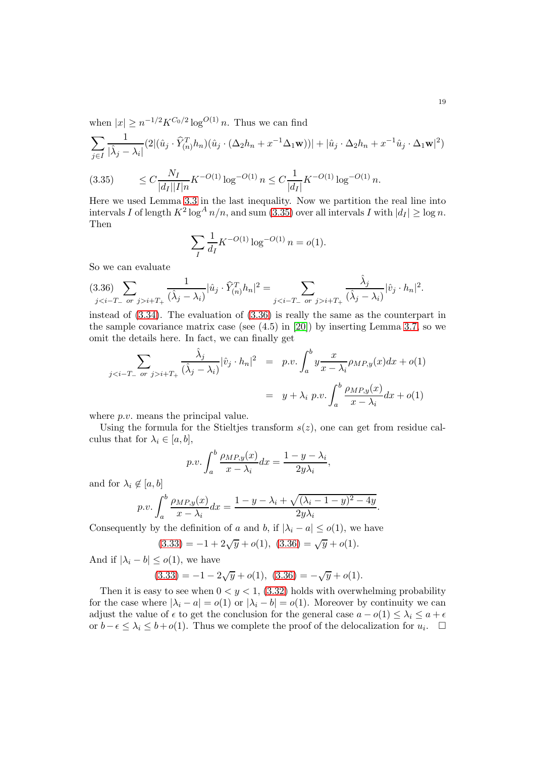when  $|x| \ge n^{-1/2} K^{C_0/2} \log^{O(1)} n$ . Thus we can find

$$
\sum_{j\in I}\frac{1}{|\hat{\lambda}_j-\lambda_i|}(2|(\hat{u}_j\cdot \widehat{Y}_{(n)}^T h_n)(\hat{u}_j\cdot (\Delta_2 h_n+x^{-1}\Delta_1\mathbf{w}))|+|\hat{u}_j\cdot \Delta_2 h_n+x^{-1}\hat{u}_j\cdot \Delta_1\mathbf{w}|^2)
$$

<span id="page-18-0"></span>
$$
(3.35) \qquad \leq C \frac{N_I}{|d_I||I|n} K^{-O(1)} \log^{-O(1)} n \leq C \frac{1}{|d_I|} K^{-O(1)} \log^{-O(1)} n.
$$

Here we used Lemma [3.3](#page-8-1) in the last inequality. Now we partition the real line into intervals I of length  $K^2 \log^A n/n$ , and sum  $(3.35)$  over all intervals I with  $|d_I| \ge \log n$ . Then

$$
\sum_{I} \frac{1}{d_I} K^{-O(1)} \log^{-O(1)} n = o(1).
$$

So we can evaluate

<span id="page-18-1"></span>
$$
(3.36)\sum_{ji+T_+} \frac{1}{(\hat{\lambda}_j - \lambda_i)} |\hat{u}_j \cdot \hat{Y}_{(n)}^T h_n|^2 = \sum_{ji+T_+} \frac{\hat{\lambda}_j}{(\hat{\lambda}_j - \lambda_i)} |\hat{v}_j \cdot h_n|^2.
$$

instead of [\(3.34\)](#page-17-0). The evaluation of [\(3.36\)](#page-18-1) is really the same as the counterpart in the sample covariance matrix case (see (4.5) in [\[20\]](#page-34-0)) by inserting Lemma [3.7,](#page-14-1) so we omit the details here. In fact, we can finally get

$$
\sum_{ji+T_{+}} \frac{\hat{\lambda}_{j}}{(\hat{\lambda}_{j}-\lambda_{i})} |\hat{v}_{j} \cdot h_{n}|^{2} = p.v. \int_{a}^{b} y \frac{x}{x - \lambda_{i}} \rho_{MP,y}(x) dx + o(1)
$$

$$
= y + \lambda_{i} p.v. \int_{a}^{b} \frac{\rho_{MP,y}(x)}{x - \lambda_{i}} dx + o(1)
$$

where *p.v.* means the principal value.

Using the formula for the Stieltjes transform  $s(z)$ , one can get from residue calculus that for  $\lambda_i \in [a, b],$ 

$$
p.v. \int_{a}^{b} \frac{\rho_{MP,y}(x)}{x - \lambda_i} dx = \frac{1 - y - \lambda_i}{2y\lambda_i},
$$

and for  $\lambda_i \notin [a, b]$ 

$$
p.v. \int_a^b \frac{\rho_{MP,y}(x)}{x - \lambda_i} dx = \frac{1 - y - \lambda_i + \sqrt{(\lambda_i - 1 - y)^2 - 4y}}{2y\lambda_i}.
$$

Consequently by the definition of a and b, if  $|\lambda_i - a| \le o(1)$ , we have

$$
(3.33) = -1 + 2\sqrt{y} + o(1), (3.36) = \sqrt{y} + o(1).
$$

And if  $|\lambda_i - b| \le o(1)$ , we have

$$
(3.33) = -1 - 2\sqrt{y} + o(1), (3.36) = -\sqrt{y} + o(1).
$$

Then it is easy to see when  $0 < y < 1$ , [\(3.32\)](#page-16-2) holds with overwhelming probability for the case where  $|\lambda_i - a| = o(1)$  or  $|\lambda_i - b| = o(1)$ . Moreover by continuity we can adjust the value of  $\epsilon$  to get the conclusion for the general case  $a - o(1) \leq \lambda_i \leq a + \epsilon$ or  $b-\epsilon \leq \lambda_i \leq b+o(1)$ . Thus we complete the proof of the delocalization for  $u_i$ . □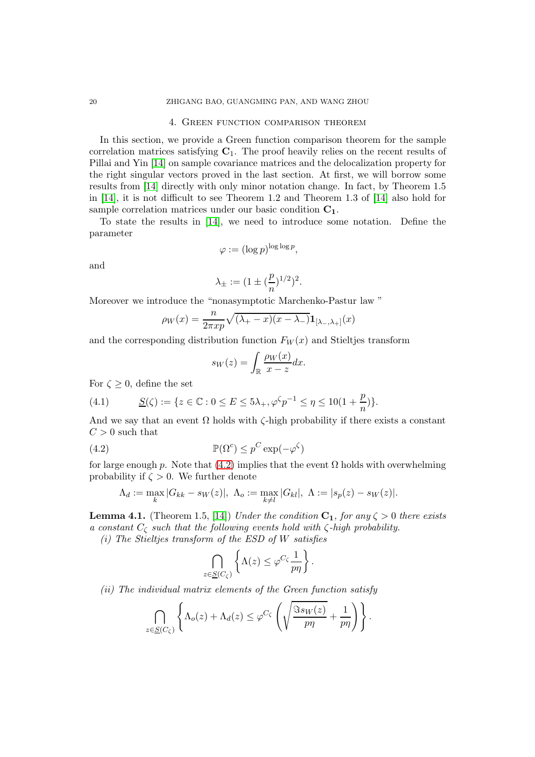#### 4. Green function comparison theorem

In this section, we provide a Green function comparison theorem for the sample correlation matrices satisfying  $C_1$ . The proof heavily relies on the recent results of Pillai and Yin [\[14\]](#page-33-12) on sample covariance matrices and the delocalization property for the right singular vectors proved in the last section. At first, we will borrow some results from [\[14\]](#page-33-12) directly with only minor notation change. In fact, by Theorem 1.5 in [\[14\]](#page-33-12), it is not difficult to see Theorem 1.2 and Theorem 1.3 of [\[14\]](#page-33-12) also hold for sample correlation matrices under our basic condition  $C_1$ .

To state the results in [\[14\]](#page-33-12), we need to introduce some notation. Define the parameter

$$
\varphi := (\log p)^{\log \log p},
$$

and

$$
\lambda_{\pm} := (1 \pm (\frac{p}{n})^{1/2})^2.
$$

Moreover we introduce the "nonasymptotic Marchenko-Pastur law "

$$
\rho_W(x) = \frac{n}{2\pi x p} \sqrt{(\lambda_+ - x)(x - \lambda_-)} \mathbf{1}_{[\lambda_-,\lambda_+]}(x)
$$

and the corresponding distribution function  $F_W(x)$  and Stieltjes transform

<span id="page-19-0"></span>
$$
s_W(z) = \int_{\mathbb{R}} \frac{\rho_W(x)}{x - z} dx.
$$

For  $\zeta \geq 0$ , define the set

<span id="page-19-1"></span>(4.1) 
$$
\underline{S}(\zeta) := \{ z \in \mathbb{C} : 0 \le E \le 5\lambda_+, \varphi^{\zeta} p^{-1} \le \eta \le 10(1 + \frac{p}{n}) \}.
$$

And we say that an event  $\Omega$  holds with  $\zeta$ -high probability if there exists a constant  $C > 0$  such that

(4.2) 
$$
\mathbb{P}(\Omega^c) \leq p^C \exp(-\varphi^{\zeta})
$$

for large enough p. Note that [\(4.2\)](#page-19-0) implies that the event  $\Omega$  holds with overwhelming probability if  $\zeta > 0$ . We further denote

$$
\Lambda_d := \max_k |G_{kk} - s_W(z)|, \ \Lambda_o := \max_{k \neq l} |G_{kl}|, \ \Lambda := |s_p(z) - s_W(z)|.
$$

<span id="page-19-2"></span>**Lemma 4.1.** (Theorem 1.5, [\[14\]](#page-33-12)) *Under the condition*  $C_1$ *, for any*  $\zeta > 0$  *there exists a constant* C<sup>ζ</sup> *such that the following events hold with* ζ*-high probability.*

*(i) The Stieltjes transform of the ESD of* W *satisfies*

$$
\bigcap_{z \in \underline{S}(C_{\zeta})} \left\{ \Lambda(z) \leq \varphi^{C_{\zeta}} \frac{1}{p\eta} \right\}.
$$

*(ii) The individual matrix elements of the Green function satisfy*

$$
\bigcap_{z \in \underline{S}(C_{\zeta})} \left\{\Lambda_o(z) + \Lambda_d(z) \leq \varphi^{C_{\zeta}}\left(\sqrt{\frac{\Im s_W(z)}{p\eta}} + \frac{1}{p\eta}\right)\right\}.
$$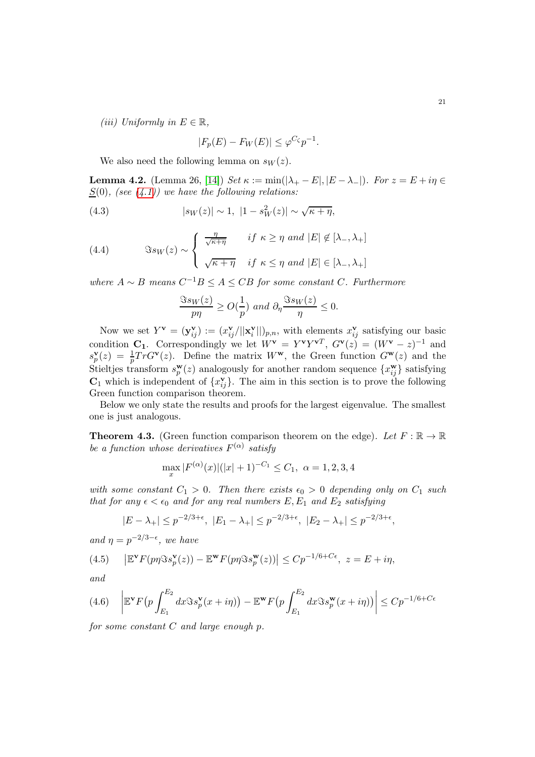*(iii)* Uniformly in  $E \in \mathbb{R}$ ,

<span id="page-20-4"></span>
$$
|F_p(E) - F_W(E)| \le \varphi^{C_\zeta} p^{-1}.
$$

We also need the following lemma on  $s_W(z)$ .

**Lemma 4.2.** (Lemma 26, [\[14\]](#page-33-12)) *Set*  $\kappa := \min(|\lambda_+ - E|, |E - \lambda_-|)$ *. For*  $z = E + i\eta \in$  $S(0)$ *, (see [\(4.1\)](#page-19-1))* we have the following relations:

(4.3) 
$$
|s_W(z)| \sim 1, \ |1 - s_W^2(z)| \sim \sqrt{\kappa + \eta},
$$

<span id="page-20-3"></span>(4.4) 
$$
\Im s_W(z) \sim \begin{cases} \frac{\eta}{\sqrt{\kappa + \eta}} & \text{if } \kappa \ge \eta \text{ and } |E| \notin [\lambda_-, \lambda_+] \\ \sqrt{\kappa + \eta} & \text{if } \kappa \le \eta \text{ and } |E| \in [\lambda_-, \lambda_+] \end{cases}
$$

 $where A ∼ B means C<sup>-1</sup>B ≤ A ≤ CB for some constant C. Furthermore$ 

$$
\frac{\Im s_W(z)}{p\eta} \ge O(\frac{1}{p}) \text{ and } \partial_\eta \frac{\Im s_W(z)}{\eta} \le 0.
$$

Now we set  $Y^{\mathbf{v}} = (\mathbf{y}_{ij}^{\mathbf{v}}) := (x_{ij}^{\mathbf{v}} / ||\mathbf{x}_{i}^{\mathbf{v}}$  $\binom{\mathbf{v}}{i}$ , with elements  $x_{ij}^{\mathbf{v}}$  satisfying our basic condition  $C_1$ . Correspondingly we let  $W^{\mathbf{v}} = Y^{\mathbf{v}} Y^{\mathbf{v}^T}$ ,  $G^{\mathbf{v}}(z) = (W^{\mathbf{v}} - z)^{-1}$  and s v  $\mathbf{p}(z) = \frac{1}{p} Tr G^{\mathbf{v}}(z)$ . Define the matrix  $W^{\mathbf{w}}$ , the Green function  $G^{\mathbf{w}}(z)$  and the Stieltjes transform  $s_n^{\mathbf{w}}$  $_p^{\mathbf{w}}(z)$  analogously for another random sequence  $\{x_{ij}^{\mathbf{w}}\}$  satisfying  $\mathbf{C}_1$  which is independent of  $\{x_{ij}^{\mathbf{v}}\}$ . The aim in this section is to prove the following Green function comparison theorem.

Below we only state the results and proofs for the largest eigenvalue. The smallest one is just analogous.

<span id="page-20-0"></span>**Theorem 4.3.** (Green function comparison theorem on the edge). Let  $F : \mathbb{R} \to \mathbb{R}$ *be a function whose derivatives*  $F^{(\alpha)}$  satisfy

$$
\max_{x} |F^{(\alpha)}(x)|(|x|+1)^{-C_1} \le C_1, \ \alpha = 1, 2, 3, 4
$$

*with some constant*  $C_1 > 0$ *. Then there exists*  $\epsilon_0 > 0$  *depending only on*  $C_1$  *such that for any*  $\epsilon < \epsilon_0$  *and for any real numbers*  $E, E_1$  *and*  $E_2$  *satisfying* 

$$
|E - \lambda_+| \le p^{-2/3 + \epsilon}, \ |E_1 - \lambda_+| \le p^{-2/3 + \epsilon}, \ |E_2 - \lambda_+| \le p^{-2/3 + \epsilon},
$$

*and*  $\eta = p^{-2/3 - \epsilon}$ *, we have* 

<span id="page-20-2"></span>(4.5) 
$$
\left| \mathbb{E}^{\mathbf{v}} F(p\eta \Im s_p^{\mathbf{v}}(z)) - \mathbb{E}^{\mathbf{w}} F(p\eta \Im s_p^{\mathbf{w}}(z)) \right| \leq C p^{-1/6 + C\epsilon}, \ z = E + i\eta,
$$

*and*

<span id="page-20-1"></span>
$$
(4.6)\quad \left| \mathbb{E}^{\mathbf{v}} F\left(p \int_{E_1}^{E_2} dx \Im s_p^{\mathbf{v}}(x+i\eta) \right) - \mathbb{E}^{\mathbf{w}} F\left(p \int_{E_1}^{E_2} dx \Im s_p^{\mathbf{w}}(x+i\eta) \right) \right| \leq C p^{-1/6 + C\epsilon}
$$

*for some constant* C *and large enough* p*.*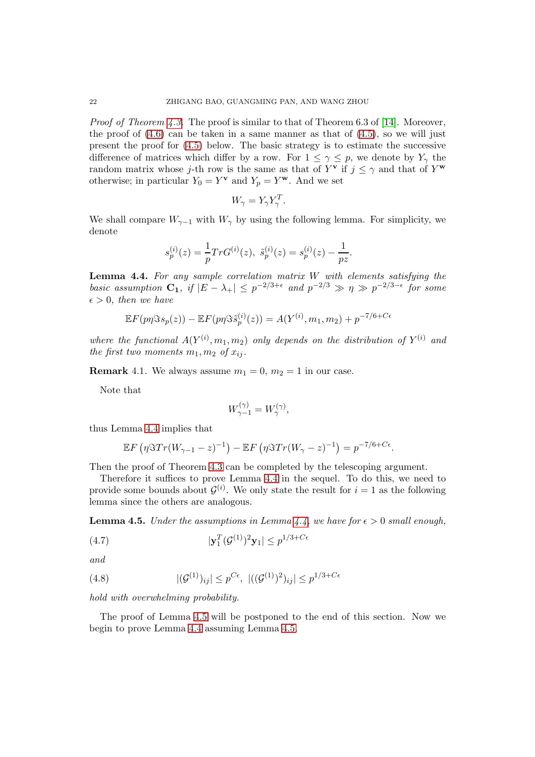*Proof of Theorem [4.3.](#page-20-0)* The proof is similar to that of Theorem 6.3 of [\[14\]](#page-33-12). Moreover, the proof of  $(4.6)$  can be taken in a same manner as that of  $(4.5)$ , so we will just present the proof for [\(4.5\)](#page-20-2) below. The basic strategy is to estimate the successive difference of matrices which differ by a row. For  $1 \leq \gamma \leq p$ , we denote by  $Y_{\gamma}$  the random matrix whose j-th row is the same as that of  $Y^{\mathbf{v}}$  if  $j \leq \gamma$  and that of  $Y^{\mathbf{w}}$ otherwise; in particular  $Y_0 = Y^{\mathbf{v}}$  and  $Y_p = Y^{\mathbf{w}}$ . And we set

$$
W_{\gamma} = Y_{\gamma} Y_{\gamma}^{T}.
$$

We shall compare  $W_{\gamma-1}$  with  $W_{\gamma}$  by using the following lemma. For simplicity, we denote

$$
s_p^{(i)}(z) = \frac{1}{p} Tr G^{(i)}(z), \ \tilde{s}_p^{(i)}(z) = s_p^{(i)}(z) - \frac{1}{pz}.
$$

<span id="page-21-0"></span>Lemma 4.4. *For any sample correlation matrix* W *with elements satisfying the basic assumption*  $C_1$ *, if*  $|E - \lambda_+| \leq p^{-2/3+\epsilon}$  and  $p^{-2/3} \gg \eta \gg p^{-2/3-\epsilon}$  for some  $\epsilon > 0$ , then we have

$$
\mathbb{E}F(p\eta\Im s_p(z)) - \mathbb{E}F(p\eta\Im \tilde{s}_p^{(i)}(z)) = A(Y^{(i)}, m_1, m_2) + p^{-7/6 + C\epsilon}
$$

where the functional  $A(Y^{(i)}, m_1, m_2)$  only depends on the distribution of  $Y^{(i)}$  and *the first two moments*  $m_1, m_2$  *of*  $x_{ij}$ *.* 

**Remark** 4.1. We always assume  $m_1 = 0$ ,  $m_2 = 1$  in our case.

Note that

$$
W_{\gamma-1}^{(\gamma)} = W_{\gamma}^{(\gamma)},
$$

thus Lemma [4.4](#page-21-0) implies that

$$
\mathbb{E} F\left(\eta \Im Tr(W_{\gamma-1}-z)^{-1}\right) - \mathbb{E} F\left(\eta \Im Tr(W_{\gamma}-z)^{-1}\right) = p^{-7/6+C\epsilon}.
$$

Then the proof of Theorem [4.3](#page-20-0) can be completed by the telescoping argument.

Therefore it suffices to prove Lemma [4.4](#page-21-0) in the sequel. To do this, we need to provide some bounds about  $\mathcal{G}^{(i)}$ . We only state the result for  $i = 1$  as the following lemma since the others are analogous.

<span id="page-21-1"></span>**Lemma 4.5.** *Under the assumptions in Lemma [4.4,](#page-21-0)* we have for  $\epsilon > 0$  small enough,

<span id="page-21-2"></span>(4.7) 
$$
|\mathbf{y}_1^T (\mathcal{G}^{(1)})^2 \mathbf{y}_1| \le p^{1/3 + C\epsilon}
$$

$$
and
$$

<span id="page-21-3"></span>(4.8) 
$$
|(\mathcal{G}^{(1)})_{ij}| \leq p^{C\epsilon}, \ |((\mathcal{G}^{(1)})^2)_{ij}| \leq p^{1/3 + C\epsilon}
$$

*hold with overwhelming probability.*

The proof of Lemma [4.5](#page-21-1) will be postponed to the end of this section. Now we begin to prove Lemma [4.4](#page-21-0) assuming Lemma [4.5.](#page-21-1)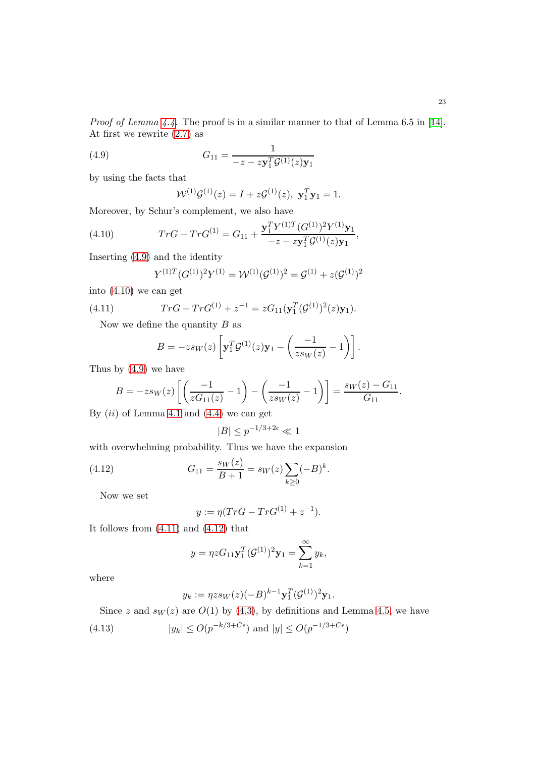*Proof of Lemma [4.4.](#page-21-0)* The proof is in a similar manner to that of Lemma 6.5 in [\[14\]](#page-33-12). At first we rewrite [\(2.7\)](#page-6-0) as

(4.9) 
$$
G_{11} = \frac{1}{-z - z \mathbf{y}_1^T \mathcal{G}^{(1)}(z) \mathbf{y}_1}
$$

by using the facts that

<span id="page-22-0"></span>
$$
\mathcal{W}^{(1)}\mathcal{G}^{(1)}(z) = I + z\mathcal{G}^{(1)}(z), \mathbf{y}_1^T \mathbf{y}_1 = 1.
$$

Moreover, by Schur's complement, we also have

(4.10) 
$$
Tr G - Tr G^{(1)} = G_{11} + \frac{\mathbf{y}_1^T Y^{(1)T} (G^{(1)})^2 Y^{(1)} \mathbf{y}_1}{-z - z \mathbf{y}_1^T \mathcal{G}^{(1)}(z) \mathbf{y}_1},
$$

Inserting [\(4.9\)](#page-22-0) and the identity

<span id="page-22-1"></span>
$$
Y^{(1)T}(G^{(1)})^2 Y^{(1)} = \mathcal{W}^{(1)}(\mathcal{G}^{(1)})^2 = \mathcal{G}^{(1)} + z(\mathcal{G}^{(1)})^2
$$

into [\(4.10\)](#page-22-1) we can get

(4.11) 
$$
Tr G - Tr G^{(1)} + z^{-1} = z G_{11} (\mathbf{y}_1^T (\mathcal{G}^{(1)})^2 (z) \mathbf{y}_1).
$$

Now we define the quantity  $B$  as

<span id="page-22-2"></span>
$$
B = -zsw(z)\left[\mathbf{y}_1^T \mathcal{G}^{(1)}(z)\mathbf{y}_1 - \left(\frac{-1}{zsw(z)} - 1\right)\right].
$$

Thus by [\(4.9\)](#page-22-0) we have

$$
B = -z s_W(z) \left[ \left( \frac{-1}{z G_{11}(z)} - 1 \right) - \left( \frac{-1}{z s_W(z)} - 1 \right) \right] = \frac{s_W(z) - G_{11}}{G_{11}}.
$$

By  $(ii)$  of Lemma [4.1](#page-19-2) and  $(4.4)$  we can get

$$
|B|\leq p^{-1/3+2\epsilon}\ll 1
$$

with overwhelming probability. Thus we have the expansion

(4.12) 
$$
G_{11} = \frac{s_W(z)}{B+1} = s_W(z) \sum_{k \ge 0} (-B)^k.
$$

Now we set

<span id="page-22-3"></span>
$$
y := \eta (TrG - TrG^{(1)} + z^{-1}).
$$

It follows from  $(4.11)$  and  $(4.12)$  that

$$
y = \eta z G_{11} \mathbf{y}_1^T (\mathcal{G}^{(1)})^2 \mathbf{y}_1 = \sum_{k=1}^{\infty} y_k,
$$

where

<span id="page-22-4"></span>
$$
y_k := \eta z s_W(z) (-B)^{k-1} \mathbf{y}_1^T (\mathcal{G}^{(1)})^2 \mathbf{y}_1.
$$

Since z and  $s_W(z)$  are  $O(1)$  by [\(4.3\)](#page-20-4), by definitions and Lemma [4.5,](#page-21-1) we have

(4.13) 
$$
|y_k| \le O(p^{-k/3 + C\epsilon})
$$
 and  $|y| \le O(p^{-1/3 + C\epsilon})$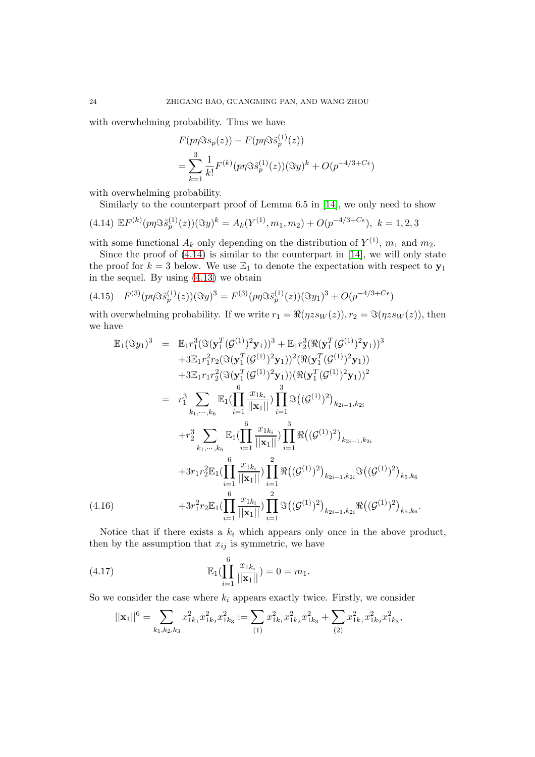with overwhelming probability. Thus we have

$$
F(p\eta \Im s_p(z)) - F(p\eta \Im \tilde{s}_p^{(1)}(z))
$$
  
= 
$$
\sum_{k=1}^3 \frac{1}{k!} F^{(k)}(p\eta \Im \tilde{s}_p^{(1)}(z)) (\Im y)^k + O(p^{-4/3 + C\epsilon})
$$

with overwhelming probability.

Similarly to the counterpart proof of Lemma 6.5 in [\[14\]](#page-33-12), we only need to show

<span id="page-23-0"></span>
$$
(4.14) \mathbb{E} F^{(k)}(p\eta \Im \tilde{s}_p^{(1)}(z))(\Im y)^k = A_k(Y^{(1)}, m_1, m_2) + O(p^{-4/3 + C\epsilon}), \ k = 1, 2, 3
$$

with some functional  $A_k$  only depending on the distribution of  $Y^{(1)}$ ,  $m_1$  and  $m_2$ .

Since the proof of [\(4.14\)](#page-23-0) is similar to the counterpart in [\[14\]](#page-33-12), we will only state the proof for  $k = 3$  below. We use  $\mathbb{E}_1$  to denote the expectation with respect to  $y_1$ in the sequel. By using [\(4.13\)](#page-22-4) we obtain

<span id="page-23-3"></span>
$$
(4.15) \quad F^{(3)}(p\eta \Im \tilde{s}_p^{(1)}(z))(\Im y)^3 = F^{(3)}(p\eta \Im \tilde{s}_p^{(1)}(z))(\Im y_1)^3 + O(p^{-4/3 + C\epsilon})
$$

with overwhelming probability. If we write  $r_1 = \Re(\eta z s_W(z)), r_2 = \Im(\eta z s_W(z)),$  then we have

<span id="page-23-1"></span>
$$
\mathbb{E}_{1}(\Im y_{1})^{3} = \mathbb{E}_{1}r_{1}^{3}(\Im(\mathbf{y}_{1}^{T}(\mathcal{G}^{(1)})^{2}\mathbf{y}_{1}))^{3} + \mathbb{E}_{1}r_{2}^{3}(\Re(\mathbf{y}_{1}^{T}(\mathcal{G}^{(1)})^{2}\mathbf{y}_{1}))^{3} \n+3\mathbb{E}_{1}r_{1}^{2}r_{2}(\Im(\mathbf{y}_{1}^{T}(\mathcal{G}^{(1)})^{2}\mathbf{y}_{1}))^{2}(\Re(\mathbf{y}_{1}^{T}(\mathcal{G}^{(1)})^{2}\mathbf{y}_{1}))\n+3\mathbb{E}_{1}r_{1}r_{2}^{2}(\Im(\mathbf{y}_{1}^{T}(\mathcal{G}^{(1)})^{2}\mathbf{y}_{1}))(\Re(\mathbf{y}_{1}^{T}(\mathcal{G}^{(1)})^{2}\mathbf{y}_{1}))^{2} \n= r_{1}^{3} \sum_{k_{1},...,k_{6}} \mathbb{E}_{1}(\prod_{i=1}^{6} \frac{x_{1}k_{i}}{||\mathbf{x}_{1}||}) \prod_{i=1}^{3} \Im((\mathcal{G}^{(1)})^{2})_{k_{2i-1},k_{2i}} \n+ r_{2}^{3} \sum_{k_{1},...,k_{6}} \mathbb{E}_{1}(\prod_{i=1}^{6} \frac{x_{1}k_{i}}{||\mathbf{x}_{1}||}) \prod_{i=1}^{3} \Re((\mathcal{G}^{(1)})^{2})_{k_{2i-1},k_{2i}} \n+3r_{1}r_{2}^{2}\mathbb{E}_{1}(\prod_{i=1}^{6} \frac{x_{1}k_{i}}{||\mathbf{x}_{1}||}) \prod_{i=1}^{2} \Re((\mathcal{G}^{(1)})^{2})_{k_{2i-1},k_{2i}} \Im((\mathcal{G}^{(1)})^{2})_{k_{5},k_{6}} \n+3r_{1}^{2}r_{2}\mathbb{E}_{1}(\prod_{i=1}^{6} \frac{x_{1}k_{i}}{||\mathbf{x}_{1}||}) \prod_{i=1}^{2} \Im((\mathcal{G}^{(1)})^{2})_{k_{2i-1},k_{2i}} \Re((\mathcal{G}^{(1)})^{2})_{k_{5},k_{6}}.
$$
\n(4.16

Notice that if there exists a  $k_i$  which appears only once in the above product, then by the assumption that  $x_{ij}$  is symmetric, we have

(4.17) 
$$
\mathbb{E}_1(\prod_{i=1}^6 \frac{x_{1k_i}}{||\mathbf{x}_1||}) = 0 = m_1.
$$

So we consider the case where  $k_i$  appears exactly twice. Firstly, we consider

<span id="page-23-2"></span>
$$
||\mathbf{x}_1||^6 = \sum_{k_1,k_2,k_3} x_{1k_1}^2 x_{1k_2}^2 x_{1k_3}^2 := \sum_{(1)} x_{1k_1}^2 x_{1k_2}^2 x_{1k_3}^2 + \sum_{(2)} x_{1k_1}^2 x_{1k_2}^2 x_{1k_3}^2,
$$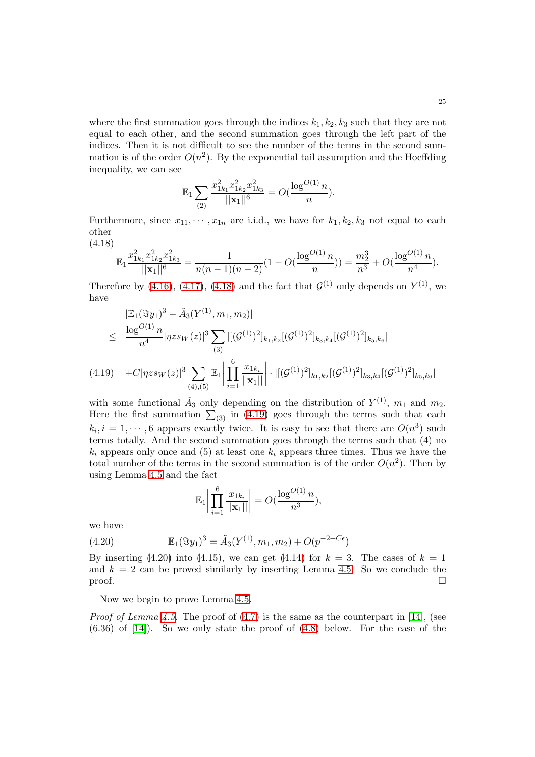where the first summation goes through the indices  $k_1, k_2, k_3$  such that they are not equal to each other, and the second summation goes through the left part of the indices. Then it is not difficult to see the number of the terms in the second summation is of the order  $O(n^2)$ . By the exponential tail assumption and the Hoeffding inequality, we can see

$$
\mathbb{E}_1 \sum_{(2)} \frac{x_{1k_1}^2 x_{1k_2}^2 x_{1k_3}^2}{||\mathbf{x}_1||^6} = O(\frac{\log^{O(1)} n}{n}).
$$

Furthermore, since  $x_{11}, \dots, x_{1n}$  are i.i.d., we have for  $k_1, k_2, k_3$  not equal to each other

<span id="page-24-0"></span>(4.18)

$$
\mathbb{E}_1 \frac{x_{1k_1}^2 x_{1k_2}^2 x_{1k_3}^2}{||\mathbf{x}_1||^6} = \frac{1}{n(n-1)(n-2)} (1 - O(\frac{\log^{O(1)} n}{n})) = \frac{m_2^3}{n^3} + O(\frac{\log^{O(1)} n}{n^4}).
$$

Therefore by [\(4.16\)](#page-23-1), [\(4.17\)](#page-23-2), [\(4.18\)](#page-24-0) and the fact that  $\mathcal{G}^{(1)}$  only depends on  $Y^{(1)}$ , we have

<span id="page-24-1"></span>
$$
\begin{aligned}\n& \left| \mathbb{E}_1(\Im y_1)^3 - \tilde{A}_3(Y^{(1)}, m_1, m_2) \right| \\
&\leq \frac{\log^{O(1)} n}{n^4} |\eta z s_W(z)|^3 \sum_{(3)} |[(\mathcal{G}^{(1)})^2]_{k_1, k_2} [(\mathcal{G}^{(1)})^2]_{k_3, k_4} [(\mathcal{G}^{(1)})^2]_{k_5, k_6} \\
&\quad + C |\eta z s_W(z)|^3 \sum_{(4), (5)} \mathbb{E}_1 \left| \prod_{i=1}^6 \frac{x_{1k_i}}{||\mathbf{x}_1||} \right| \cdot |[(\mathcal{G}^{(1)})^2]_{k_1, k_2} [(\mathcal{G}^{(1)})^2]_{k_3, k_4} [(\mathcal{G}^{(1)})^2]_{k_5, k_6}\n\end{aligned}
$$

with some functional  $\tilde{A}_3$  only depending on the distribution of  $Y^{(1)}$ ,  $m_1$  and  $m_2$ . Here the first summation  $\sum_{(3)}$  in [\(4.19\)](#page-24-1) goes through the terms such that each  $k_i, i = 1, \dots, 6$  appears exactly twice. It is easy to see that there are  $O(n^3)$  such terms totally. And the second summation goes through the terms such that (4) no  $k_i$  appears only once and (5) at least one  $k_i$  appears three times. Thus we have the total number of the terms in the second summation is of the order  $O(n^2)$ . Then by using Lemma [4.5](#page-21-1) and the fact

<span id="page-24-2"></span>
$$
\mathbb{E}_1 \bigg| \prod_{i=1}^6 \frac{x_{1k_i}}{||\mathbf{x}_1||} \bigg| = O(\frac{\log^{O(1)} n}{n^3}),
$$

we have

(4.20) 
$$
\mathbb{E}_1(\Im y_1)^3 = \tilde{A}_3(Y^{(1)}, m_1, m_2) + O(p^{-2+C\epsilon})
$$

By inserting [\(4.20\)](#page-24-2) into [\(4.15\)](#page-23-3), we can get [\(4.14\)](#page-23-0) for  $k = 3$ . The cases of  $k = 1$ and  $k = 2$  can be proved similarly by inserting Lemma [4.5.](#page-21-1) So we conclude the  $\Box$ 

Now we begin to prove Lemma [4.5.](#page-21-1)

*Proof of Lemma [4.5.](#page-21-1)* The proof of  $(4.7)$  is the same as the counterpart in [\[14\]](#page-33-12), (see  $(6.36)$  of  $[14]$ ). So we only state the proof of  $(4.8)$  below. For the ease of the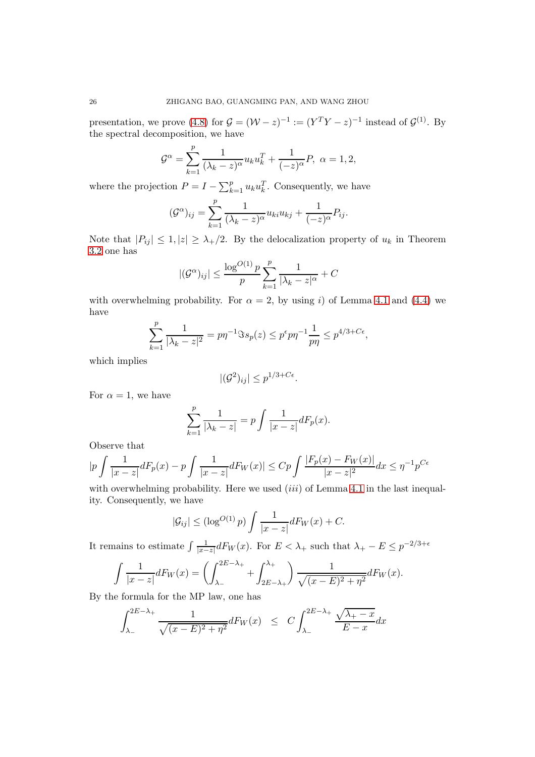presentation, we prove [\(4.8\)](#page-21-3) for  $\mathcal{G} = (\mathcal{W} - z)^{-1} := (Y^T Y - z)^{-1}$  instead of  $\mathcal{G}^{(1)}$ . By the spectral decomposition, we have

$$
\mathcal{G}^{\alpha} = \sum_{k=1}^{p} \frac{1}{(\lambda_k - z)^{\alpha}} u_k u_k^T + \frac{1}{(-z)^{\alpha}} P, \ \alpha = 1, 2,
$$

where the projection  $P = I - \sum_{k=1}^{p} u_k u_k^T$ . Consequently, we have

$$
(\mathcal{G}^{\alpha})_{ij} = \sum_{k=1}^{p} \frac{1}{(\lambda_k - z)^{\alpha}} u_{ki} u_{kj} + \frac{1}{(-z)^{\alpha}} P_{ij}.
$$

Note that  $|P_{ij}| \leq 1, |z| \geq \lambda_+/2$ . By the delocalization property of  $u_k$  in Theorem [3.2](#page-7-2) one has

$$
|(\mathcal{G}^{\alpha})_{ij}| \le \frac{\log^{O(1)} p}{p} \sum_{k=1}^{p} \frac{1}{|\lambda_k - z|^{\alpha}} + C
$$

with overwhelming probability. For  $\alpha = 2$ , by using i) of Lemma [4.1](#page-19-2) and [\(4.4\)](#page-20-3) we have

$$
\sum_{k=1}^{p} \frac{1}{|\lambda_k - z|^2} = p\eta^{-1} \Im s_p(z) \le p^{\epsilon} p \eta^{-1} \frac{1}{p\eta} \le p^{4/3 + C\epsilon},
$$

which implies

$$
|(\mathcal{G}^2)_{ij}| \leq p^{1/3 + C\epsilon}.
$$

For  $\alpha = 1$ , we have

$$
\sum_{k=1}^{p} \frac{1}{|\lambda_k - z|} = p \int \frac{1}{|x - z|} dF_p(x).
$$

Observe that

$$
|p\int \frac{1}{|x-z|}dF_p(x) - p\int \frac{1}{|x-z|}dF_W(x)| \leq Cp \int \frac{|F_p(x) - F_W(x)|}{|x-z|^2}dx \leq \eta^{-1}p^{C\epsilon}
$$

with overwhelming probability. Here we used  $(iii)$  of Lemma [4.1](#page-19-2) in the last inequality. Consequently, we have

$$
|\mathcal{G}_{ij}| \le (\log^{O(1)} p) \int \frac{1}{|x-z|} dF_W(x) + C.
$$

It remains to estimate  $\int \frac{1}{|x-1|}$  $\frac{1}{|x-z|}dF_W(x)$ . For  $E < \lambda_+$  such that  $\lambda_+ - E \leq p^{-2/3 + \epsilon}$ 

$$
\int \frac{1}{|x-z|} dF_W(x) = \left(\int_{\lambda_-}^{2E-\lambda_+} + \int_{2E-\lambda_+}^{\lambda_+}\right) \frac{1}{\sqrt{(x-E)^2 + \eta^2}} dF_W(x).
$$

By the formula for the MP law, one has

<span id="page-25-0"></span>
$$
\int_{\lambda_-}^{2E-\lambda_+} \frac{1}{\sqrt{(x-E)^2 + \eta^2}} dF_W(x) \leq C \int_{\lambda_-}^{2E-\lambda_+} \frac{\sqrt{\lambda_+ - x}}{E - x} dx
$$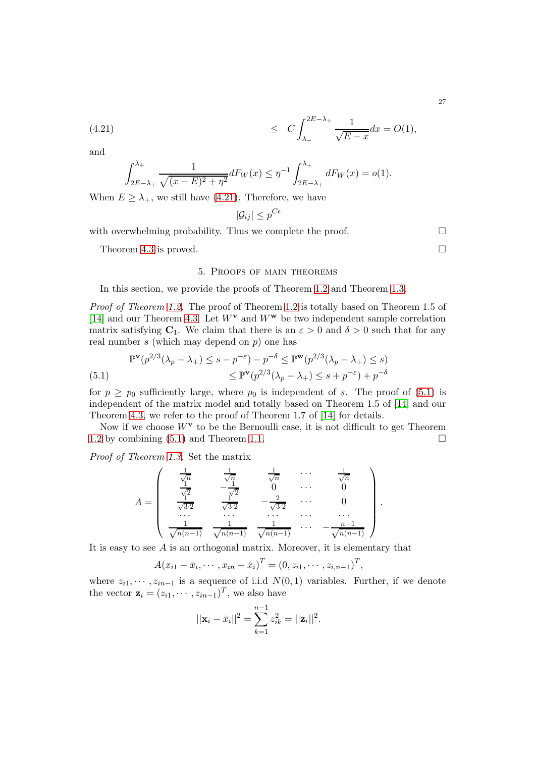(4.21) 
$$
\leq C \int_{\lambda_{-}}^{2E - \lambda_{+}} \frac{1}{\sqrt{E - x}} dx = O(1),
$$

and

$$
\int_{2E-\lambda_+}^{\lambda_+} \frac{1}{\sqrt{(x-E)^2+\eta^2}} dF_W(x) \leq \eta^{-1} \int_{2E-\lambda_+}^{\lambda_+} dF_W(x) = o(1).
$$

When  $E \geq \lambda_{+}$ , we still have [\(4.21\)](#page-25-0). Therefore, we have

$$
|\mathcal{G}_{ij}| \leq p^{C\epsilon}
$$

with overwhelming probability. Thus we complete the proof.  $\Box$ 

Theorem [4.3](#page-20-0) is proved.

### 5. Proofs of main theorems

In this section, we provide the proofs of Theorem [1.2](#page-2-1) and Theorem [1.3.](#page-3-0)

*Proof of Theorem [1.2.](#page-2-1)* The proof of Theorem [1.2](#page-2-1) is totally based on Theorem 1.5 of [\[14\]](#page-33-12) and our Theorem [4.3.](#page-20-0) Let  $W^{\mathbf{v}}$  and  $W^{\mathbf{w}}$  be two independent sample correlation matrix satisfying  $C_1$ . We claim that there is an  $\varepsilon > 0$  and  $\delta > 0$  such that for any real number  $s$  (which may depend on  $p$ ) one has

<span id="page-26-0"></span>
$$
\mathbb{P}^{\mathbf{v}}(p^{2/3}(\lambda_p - \lambda_+) \le s - p^{-\varepsilon}) - p^{-\delta} \le \mathbb{P}^{\mathbf{w}}(p^{2/3}(\lambda_p - \lambda_+) \le s)
$$
  
(5.1) 
$$
\le \mathbb{P}^{\mathbf{v}}(p^{2/3}(\lambda_p - \lambda_+) \le s + p^{-\varepsilon}) + p^{-\delta}
$$

for  $p \geq p_0$  sufficiently large, where  $p_0$  is independent of s. The proof of [\(5.1\)](#page-26-0) is independent of the matrix model and totally based on Theorem 1.5 of [\[14\]](#page-33-12) and our Theorem [4.3,](#page-20-0) we refer to the proof of Theorem 1.7 of [\[14\]](#page-33-12) for details.

Now if we choose  $W^{\mathbf{v}}$  to be the Bernoulli case, it is not difficult to get Theorem [1.2](#page-2-1) by combining  $(5.1)$  and Theorem [1.1.](#page-2-0)

*Proof of Theorem [1.3.](#page-3-0)* Set the matrix

$$
A = \begin{pmatrix} \frac{1}{\sqrt{n}} & \frac{1}{\sqrt{n}} & \frac{1}{\sqrt{n}} & \cdots & \frac{1}{\sqrt{n}} \\ \frac{1}{\sqrt{2}} & -\frac{1}{\sqrt{2}} & 0 & \cdots & 0 \\ \frac{1}{\sqrt{32}} & \frac{1}{\sqrt{32}} & -\frac{2}{\sqrt{32}} & \cdots & 0 \\ \cdots & \cdots & \cdots & \cdots & \cdots \\ \frac{1}{\sqrt{n(n-1)}} & \frac{1}{\sqrt{n(n-1)}} & \frac{1}{\sqrt{n(n-1)}} & \cdots & -\frac{n-1}{\sqrt{n(n-1)}} \end{pmatrix}.
$$

It is easy to see  $A$  is an orthogonal matrix. Moreover, it is elementary that

$$
A(x_{i1}-\bar{x}_i,\cdots,x_{in}-\bar{x}_i)^T=(0,z_{i1},\cdots,z_{i,n-1})^T,
$$

where  $z_{i1}, \dots, z_{in-1}$  is a sequence of i.i.d  $N(0, 1)$  variables. Further, if we denote the vector  $\mathbf{z}_i = (z_{i1}, \dots, z_{in-1})^T$ , we also have

$$
||\mathbf{x}_i - \bar{x}_i||^2 = \sum_{k=1}^{n-1} z_{ik}^2 = ||\mathbf{z}_i||^2.
$$

27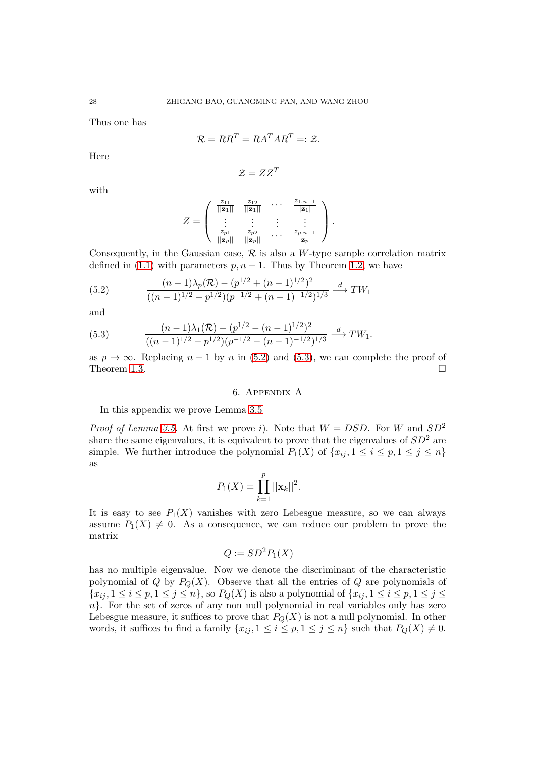Thus one has

$$
\mathcal{R} = RR^T = RA^T AR^T =: \mathcal{Z}.
$$

Here

$$
\mathcal{Z} = ZZ^T
$$

with

$$
Z = \left( \begin{array}{cccc} \frac{z_{11}}{||\mathbf{z}_1||} & \frac{z_{12}}{||\mathbf{z}_1||} & \cdots & \frac{z_{1,n-1}}{||\mathbf{z}_1||} \\ \vdots & \vdots & \vdots & \vdots \\ \frac{z_{p1}}{||\mathbf{z}_p||} & \frac{z_{p2}}{||\mathbf{z}_p||} & \cdots & \frac{z_{p,n-1}}{||\mathbf{z}_p||} \end{array} \right).
$$

Consequently, in the Gaussian case,  $\mathcal R$  is also a W-type sample correlation matrix defined in [\(1.1\)](#page-0-0) with parameters  $p, n-1$ . Thus by Theorem [1.2,](#page-2-1) we have

<span id="page-27-0"></span>(5.2) 
$$
\frac{(n-1)\lambda_p(\mathcal{R}) - (p^{1/2} + (n-1)^{1/2})^2}{((n-1)^{1/2} + p^{1/2})(p^{-1/2} + (n-1)^{-1/2})^{1/3}} \xrightarrow{d} TW_1
$$

and

<span id="page-27-1"></span>(5.3) 
$$
\frac{(n-1)\lambda_1(\mathcal{R}) - (p^{1/2} - (n-1)^{1/2})^2}{((n-1)^{1/2} - p^{1/2})(p^{-1/2} - (n-1)^{-1/2})^{1/3}} \xrightarrow{d} TW_1.
$$

as  $p \to \infty$ . Replacing  $n-1$  by n in [\(5.2\)](#page-27-0) and [\(5.3\)](#page-27-1), we can complete the proof of Theorem 1.3. Theorem [1.3.](#page-3-0)

# 6. Appendix A

In this appendix we prove Lemma [3.5](#page-12-0)

*Proof of Lemma [3.5.](#page-12-0)* At first we prove i). Note that  $W = DSD$ . For W and  $SD^2$ share the same eigenvalues, it is equivalent to prove that the eigenvalues of  $SD<sup>2</sup>$  are simple. We further introduce the polynomial  $P_1(X)$  of  $\{x_{ij}, 1 \le i \le p, 1 \le j \le n\}$ as

$$
P_1(X) = \prod_{k=1}^p ||\mathbf{x}_k||^2.
$$

It is easy to see  $P_1(X)$  vanishes with zero Lebesgue measure, so we can always assume  $P_1(X) \neq 0$ . As a consequence, we can reduce our problem to prove the matrix

$$
Q := SD^2 P_1(X)
$$

has no multiple eigenvalue. Now we denote the discriminant of the characteristic polynomial of Q by  $P_Q(X)$ . Observe that all the entries of Q are polynomials of  $\{x_{ij}, 1 \le i \le p, 1 \le j \le n\}$ , so  $P_Q(X)$  is also a polynomial of  $\{x_{ij}, 1 \le i \le p, 1 \le j \le n\}$  $n$ . For the set of zeros of any non null polynomial in real variables only has zero Lebesgue measure, it suffices to prove that  $P_Q(X)$  is not a null polynomial. In other words, it suffices to find a family  $\{x_{ij}, 1 \leq i \leq p, 1 \leq j \leq n\}$  such that  $P_Q(X) \neq 0$ .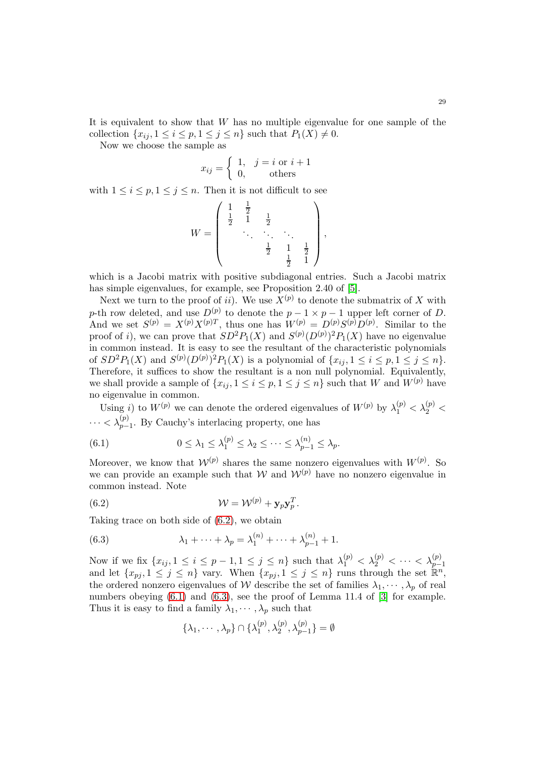It is equivalent to show that  $W$  has no multiple eigenvalue for one sample of the collection  $\{x_{ij}, 1 \leq i \leq p, 1 \leq j \leq n\}$  such that  $P_1(X) \neq 0$ .

Now we choose the sample as

$$
x_{ij} = \begin{cases} 1, & j = i \text{ or } i + 1 \\ 0, & \text{others} \end{cases}
$$

with  $1 \leq i \leq p, 1 \leq j \leq n$ . Then it is not difficult to see

$$
W = \begin{pmatrix} 1 & \frac{1}{2} & & & \\ \frac{1}{2} & 1 & \frac{1}{2} & & \\ & \ddots & \ddots & \ddots & \\ & & \frac{1}{2} & 1 & \frac{1}{2} \\ & & & \frac{1}{2} & 1 \end{pmatrix},
$$

which is a Jacobi matrix with positive subdiagonal entries. Such a Jacobi matrix has simple eigenvalues, for example, see Proposition 2.40 of [\[5\]](#page-33-15).

Next we turn to the proof of *ii*). We use  $X^{(p)}$  to denote the submatrix of X with p-th row deleted, and use  $D^{(p)}$  to denote the  $p-1 \times p-1$  upper left corner of D. And we set  $S^{(p)} = X^{(p)} X^{(p)T}$ , thus one has  $W^{(p)} = D^{(p)} S^{(p)} D^{(p)}$ . Similar to the proof of *i*), we can prove that  $SD^2P_1(X)$  and  $S^{(p)}(D^{(p)})^2P_1(X)$  have no eigenvalue in common instead. It is easy to see the resultant of the characteristic polynomials of  $SD^2P_1(X)$  and  $S^{(p)}(D^{(p)})^2P_1(X)$  is a polynomial of  $\{x_{ij}, 1 \le i \le p, 1 \le j \le n\}.$ Therefore, it suffices to show the resultant is a non null polynomial. Equivalently, we shall provide a sample of  $\{x_{ij}, 1 \leq i \leq p, 1 \leq j \leq n\}$  such that W and  $W^{(p)}$  have no eigenvalue in common.

Using i) to  $W^{(p)}$  we can denote the ordered eigenvalues of  $W^{(p)}$  by  $\lambda_1^{(p)} < \lambda_2^{(p)} <$  $\cdots < \lambda_{p-1}^{(p)}$ . By Cauchy's interlacing property, one has

<span id="page-28-1"></span>(6.1) 
$$
0 \leq \lambda_1 \leq \lambda_1^{(p)} \leq \lambda_2 \leq \cdots \leq \lambda_{p-1}^{(n)} \leq \lambda_p.
$$

Moreover, we know that  $W^{(p)}$  shares the same nonzero eigenvalues with  $W^{(p)}$ . So we can provide an example such that  $W$  and  $W^{(p)}$  have no nonzero eigenvalue in common instead. Note

(6.2) 
$$
\mathcal{W} = \mathcal{W}^{(p)} + \mathbf{y}_p \mathbf{y}_p^T.
$$

Taking trace on both side of [\(6.2\)](#page-28-0), we obtain

(6.3) 
$$
\lambda_1 + \dots + \lambda_p = \lambda_1^{(n)} + \dots + \lambda_{p-1}^{(n)} + 1.
$$

Now if we fix  $\{x_{ij}, 1 \le i \le p-1, 1 \le j \le n\}$  such that  $\lambda_1^{(p)} < \lambda_2^{(p)} < \cdots < \lambda_{p-1}^{(p)}$ <br>and let  $\{x_{pj}, 1 \le j \le n\}$  vary. When  $\{x_{pj}, 1 \le j \le n\}$  runs through the set  $\mathbb{R}^n$ , the ordered nonzero eigenvalues of W describe the set of families  $\lambda_1, \dots, \lambda_p$  of real numbers obeying  $(6.1)$  and  $(6.3)$ , see the proof of Lemma 11.4 of [\[3\]](#page-33-16) for example. Thus it is easy to find a family  $\lambda_1, \dots, \lambda_p$  such that

<span id="page-28-2"></span><span id="page-28-0"></span>
$$
\{\lambda_1, \cdots, \lambda_p\} \cap \{\lambda_1^{(p)}, \lambda_2^{(p)}, \lambda_{p-1}^{(p)}\} = \emptyset
$$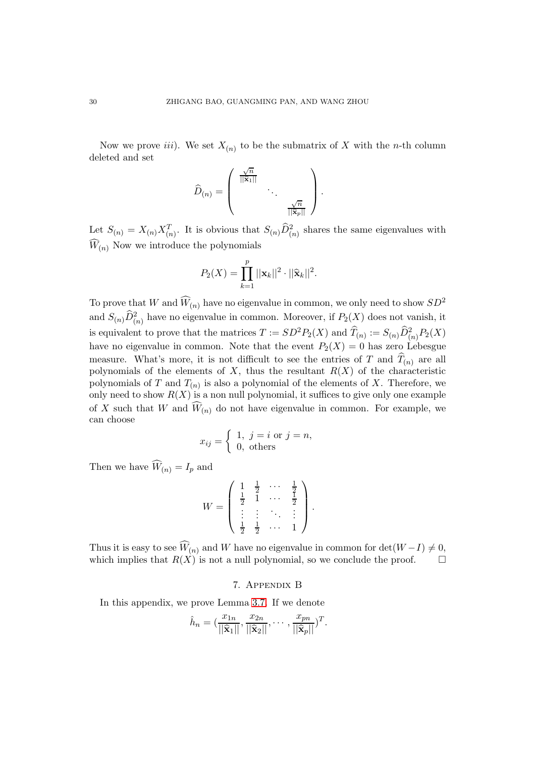Now we prove *iii*). We set  $X_{(n)}$  to be the submatrix of X with the *n*-th column deleted and set

$$
\widehat{D}_{(n)} = \left(\begin{array}{ccc} \frac{\sqrt{n}}{||\widehat{\mathbf{x}}_1||} & & \\ & \ddots & \\ & & \frac{\sqrt{n}}{||\widehat{\mathbf{x}}_p||} \end{array}\right).
$$

Let  $S_{(n)} = X_{(n)} X_{(n)}^T$ . It is obvious that  $S_{(n)} \widehat{D}_{(n)}^2$  shares the same eigenvalues with  $\widehat{W}_{(n)}$  Now we introduce the polynomials

$$
P_2(X) = \prod_{k=1}^p ||\mathbf{x}_k||^2 \cdot ||\widehat{\mathbf{x}}_k||^2.
$$

To prove that W and  $\widehat{W}_{(n)}$  have no eigenvalue in common, we only need to show  $SD^2$ and  $S_{(n)}\widehat{D}_{(n)}^2$  have no eigenvalue in common. Moreover, if  $P_2(X)$  does not vanish, it is equivalent to prove that the matrices  $T := SD^2P_2(X)$  and  $\widehat{T}_{(n)} := S_{(n)}\widehat{D}_{(n)}^2P_2(X)$ have no eigenvalue in common. Note that the event  $P_2(X) = 0$  has zero Lebesgue measure. What's more, it is not difficult to see the entries of T and  $T_{(n)}$  are all polynomials of the elements of  $X$ , thus the resultant  $R(X)$  of the characteristic polynomials of T and  $T_{(n)}$  is also a polynomial of the elements of X. Therefore, we only need to show  $R(X)$  is a non null polynomial, it suffices to give only one example of X such that W and  $\widehat{W}_{(n)}$  do not have eigenvalue in common. For example, we can choose

$$
x_{ij} = \begin{cases} 1, & j = i \text{ or } j = n, \\ 0, & \text{others} \end{cases}
$$

Then we have  $\widehat{W}_{(n)} = I_p$  and

$$
W = \begin{pmatrix} 1 & \frac{1}{2} & \cdots & \frac{1}{2} \\ \frac{1}{2} & 1 & \cdots & \frac{1}{2} \\ \vdots & \vdots & \ddots & \vdots \\ \frac{1}{2} & \frac{1}{2} & \cdots & 1 \end{pmatrix}.
$$

Thus it is easy to see  $\widehat{W}_{(n)}$  and W have no eigenvalue in common for det $(W-I) \neq 0$ , which implies that  $R(X)$  is not a null polynomial, so we conclude the proof. which implies that  $R(X)$  is not a null polynomial, so we conclude the proof.

### 7. Appendix B

In this appendix, we prove Lemma [3.7.](#page-14-1) If we denote

$$
\hat{h}_n = \left(\frac{x_{1n}}{||\widehat{\mathbf{x}}_1||}, \frac{x_{2n}}{||\widehat{\mathbf{x}}_2||}, \cdots, \frac{x_{pn}}{||\widehat{\mathbf{x}}_p||}\right)^T.
$$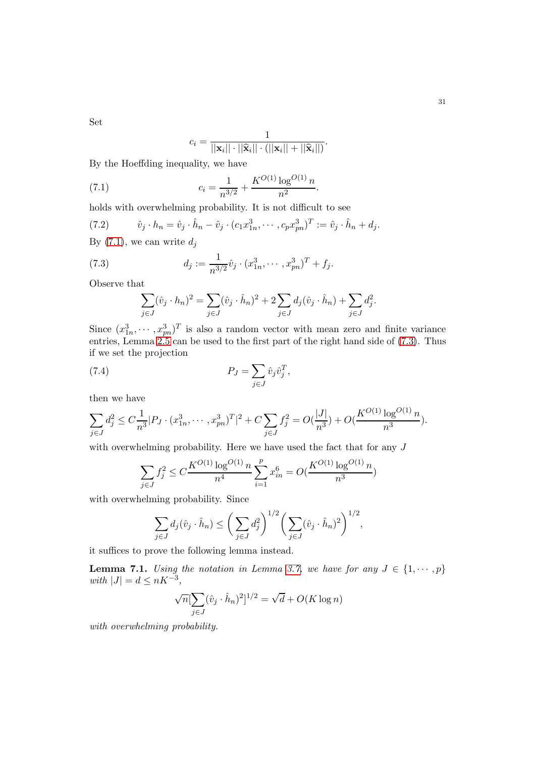Set

<span id="page-30-0"></span>
$$
c_i = \frac{1}{||\mathbf{x}_i|| \cdot ||\widehat{\mathbf{x}}_i|| \cdot (||\mathbf{x}_i|| + ||\widehat{\mathbf{x}}_i||)}.
$$

By the Hoeffding inequality, we have

(7.1) 
$$
c_i = \frac{1}{n^{3/2}} + \frac{K^{O(1)} \log^{O(1)} n}{n^2}.
$$

holds with overwhelming probability. It is not difficult to see

(7.2) 
$$
\hat{v}_j \cdot h_n = \hat{v}_j \cdot \hat{h}_n - \hat{v}_j \cdot (c_1 x_{1n}^3, \cdots, c_p x_{pn}^3)^T := \hat{v}_j \cdot \hat{h}_n + d_j.
$$
  
By (7.1), we can write  $d_j$ 

(7.3) 
$$
d_j := \frac{1}{n^{3/2}} \hat{v}_j \cdot (x_{1n}^3, \cdots, x_{pn}^3)^T + f_j.
$$

Observe that

<span id="page-30-3"></span><span id="page-30-1"></span>
$$
\sum_{j \in J} (\hat{v}_j \cdot h_n)^2 = \sum_{j \in J} (\hat{v}_j \cdot \hat{h}_n)^2 + 2 \sum_{j \in J} d_j (\hat{v}_j \cdot \hat{h}_n) + \sum_{j \in J} d_j^2.
$$

Since  $(x_{1n}^3, \dots, x_{pn}^3)^T$  is also a random vector with mean zero and finite variance entries, Lemma [2.5](#page-6-1) can be used to the first part of the right hand side of [\(7.3\)](#page-30-1). Thus if we set the projection

(7.4) 
$$
P_J = \sum_{j \in J} \hat{v}_j \hat{v}_j^T,
$$

then we have

$$
\sum_{j \in J} d_j^2 \le C \frac{1}{n^3} |P_J \cdot (x_{1n}^3, \dots, x_{pn}^3)^T|^2 + C \sum_{j \in J} f_j^2 = O(\frac{|J|}{n^3}) + O(\frac{K^{O(1)} \log^{O(1)} n}{n^3}).
$$

with overwhelming probability. Here we have used the fact that for any J

$$
\sum_{j\in J}f_j^2\leq C\frac{K^{O(1)}\log^{O(1)} n}{n^4}\sum_{i=1}^p x_{in}^6=O(\frac{K^{O(1)}\log^{O(1)} n}{n^3})
$$

with overwhelming probability. Since

$$
\sum_{j\in J} d_j(\hat{v}_j \cdot \hat{h}_n) \le \bigg(\sum_{j\in J} d_j^2\bigg)^{1/2} \bigg(\sum_{j\in J} (\hat{v}_j \cdot \hat{h}_n)^2\bigg)^{1/2},
$$

it suffices to prove the following lemma instead.

<span id="page-30-2"></span>**Lemma 7.1.** *Using the notation in Lemma [3.7,](#page-14-1) we have for any*  $J \in \{1, \dots, p\}$  $with |J| = d \leq nK^{-3},$ 

$$
\sqrt{n}[\sum_{j\in J}(\hat{v}_j\cdot\hat{h}_n)^2]^{1/2} = \sqrt{d} + O(K\log n)
$$

*with overwhelming probability.*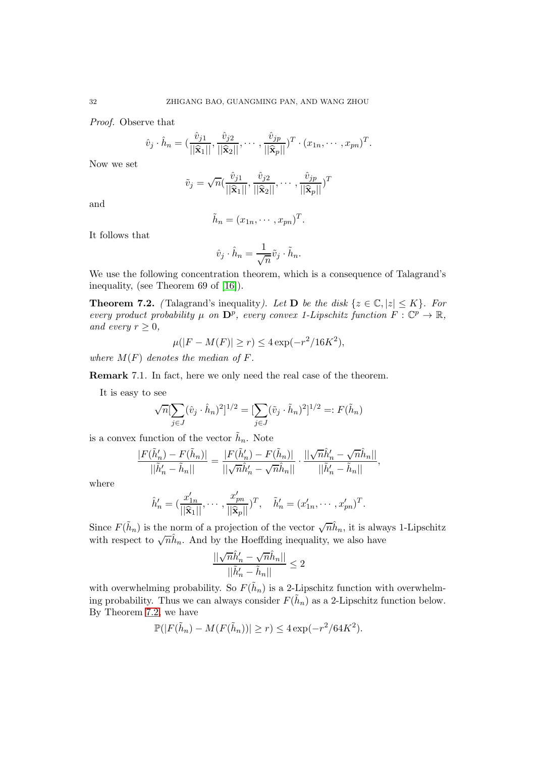*Proof.* Observe that

$$
\hat{v}_j \cdot \hat{h}_n = \left(\frac{\hat{v}_{j1}}{||\hat{\mathbf{x}}_1||}, \frac{\hat{v}_{j2}}{||\hat{\mathbf{x}}_2||}, \cdots, \frac{\hat{v}_{jp}}{||\hat{\mathbf{x}}_p||}\right)^T \cdot (x_{1n}, \cdots, x_{pn})^T.
$$

Now we set

$$
\tilde{v}_j = \sqrt{n} \left( \frac{\hat{v}_{j1}}{\|\widehat{\mathbf{x}}_1\|}, \frac{\hat{v}_{j2}}{\|\widehat{\mathbf{x}}_2\|}, \cdots, \frac{\hat{v}_{jp}}{\|\widehat{\mathbf{x}}_p\|}\right)^T
$$

and

$$
\tilde{h}_n = (x_{1n}, \cdots, x_{pn})^T.
$$

It follows that

$$
\hat{v}_j \cdot \hat{h}_n = \frac{1}{\sqrt{n}} \tilde{v}_j \cdot \tilde{h}_n.
$$

We use the following concentration theorem, which is a consequence of Talagrand's inequality, (see Theorem 69 of [\[16\]](#page-33-7)).

<span id="page-31-0"></span>**Theorem 7.2.** *(Talagrand's inequality). Let* **D** *be the disk*  $\{z \in \mathbb{C}, |z| \leq K\}$ *. For every product probability*  $\mu$  *on*  $\mathbf{D}^p$ *, every convex 1-Lipschitz function*  $F: \mathbb{C}^p \to \mathbb{R}$ *, and every*  $r \geq 0$ *,* 

$$
\mu(|F - M(F)| \ge r) \le 4\exp(-r^2/16K^2),
$$

*where*  $M(F)$  *denotes the median of*  $F$ *.* 

Remark 7.1*.* In fact, here we only need the real case of the theorem.

It is easy to see

$$
\sqrt{n} \left[ \sum_{j \in J} (\hat{v}_j \cdot \hat{h}_n)^2 \right]^{1/2} = \left[ \sum_{j \in J} (\tilde{v}_j \cdot \tilde{h}_n)^2 \right]^{1/2} =: F(\tilde{h}_n)
$$

is a convex function of the vector  $\tilde{h}_n$ . Note

$$
\frac{|F(\tilde{h}_n') - F(\tilde{h}_n)|}{||\tilde{h}_n' - \tilde{h}_n||} = \frac{|F(\tilde{h}_n') - F(\tilde{h}_n)|}{||\sqrt{n}\hat{h}_n' - \sqrt{n}\hat{h}_n||} \cdot \frac{||\sqrt{n}\hat{h}_n' - \sqrt{n}\hat{h}_n||}{||\tilde{h}_n' - \tilde{h}_n||},
$$

where

$$
\hat{h}'_n = (\frac{x'_{1n}}{||\hat{\mathbf{x}}_1||}, \cdots, \frac{x'_{pn}}{||\hat{\mathbf{x}}_p||})^T, \quad \tilde{h}'_n = (x'_{1n}, \cdots, x'_{pn})^T.
$$

Since  $F(\tilde{h}_n)$  is the norm of a projection of the vector  $\sqrt{n}\hat{h}_n$ , it is always 1-Lipschitz with respect to  $\sqrt{n}\hat{h}_n$ . And by the Hoeffding inequality, we also have

$$
\frac{||\sqrt{n}\hat{h}_n'-\sqrt{n}\hat{h}_n||}{||\tilde{h}_n'-\tilde{h}_n||}\leq 2
$$

with overwhelming probability. So  $F(\tilde{h}_n)$  is a 2-Lipschitz function with overwhelming probability. Thus we can always consider  $F(\tilde{h}_n)$  as a 2-Lipschitz function below. By Theorem [7.2,](#page-31-0) we have

$$
\mathbb{P}(|F(\tilde{h}_n) - M(F(\tilde{h}_n))| \ge r) \le 4\exp(-r^2/64K^2).
$$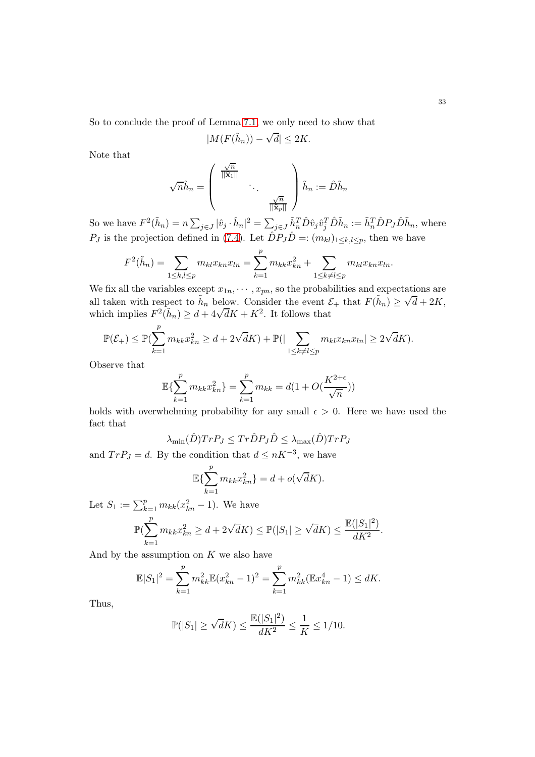So to conclude the proof of Lemma [7.1,](#page-30-2) we only need to show that

$$
|M(F(\tilde{h}_n)) - \sqrt{d}| \le 2K.
$$

Note that

$$
\sqrt{n}\hat{h}_n = \left(\begin{array}{ccc} \frac{\sqrt{n}}{\|\widehat{\mathbf{x}}_1\|} & & \\ & \ddots & \\ & & \frac{\sqrt{n}}{\|\widehat{\mathbf{x}}_p\|}\end{array}\right)\tilde{h}_n := \hat{D}\tilde{h}_n
$$

So we have  $F^2(\tilde{h}_n) = n \sum_{j \in J} |\hat{v}_j \cdot \hat{h}_n|^2 = \sum_{j \in J} \tilde{h}_n^T \hat{D} \hat{v}_j \hat{v}_j^T \hat{D} \tilde{h}_n := \tilde{h}_n^T \hat{D} P_J \hat{D} \tilde{h}_n$ , where  $P_J$  is the projection defined in [\(7.4\)](#page-30-3). Let  $\hat{D}P_J\hat{D} =: (m_{kl})_{1 \leq k,l \leq p}$ , then we have

$$
F^{2}(\tilde{h}_{n}) = \sum_{1 \leq k,l \leq p} m_{kl} x_{kn} x_{ln} = \sum_{k=1}^{p} m_{kk} x_{kn}^{2} + \sum_{1 \leq k \neq l \leq p} m_{kl} x_{kn} x_{ln}.
$$

We fix all the variables except  $x_{1n}, \dots, x_{pn}$ , so the probabilities and expectations are all taken with respect to  $\tilde{h}_n$  below. Consider the event  $\mathcal{E}_+$  that  $F(\tilde{h}_n) \ge \sqrt{d} + 2K$ , which implies  $F^2(\tilde{h}_n) \geq d + 4\sqrt{d}K + K^2$ . It follows that

$$
\mathbb{P}(\mathcal{E}_+) \le \mathbb{P}(\sum_{k=1}^p m_{kk} x_{kn}^2 \ge d + 2\sqrt{d}K) + \mathbb{P}(|\sum_{1 \le k \ne l \le p} m_{kl} x_{kn} x_{ln}| \ge 2\sqrt{d}K).
$$

Observe that

$$
\mathbb{E}\{\sum_{k=1}^{p} m_{kk} x_{kn}^2\} = \sum_{k=1}^{p} m_{kk} = d(1 + O(\frac{K^{2+\epsilon}}{\sqrt{n}}))
$$

holds with overwhelming probability for any small  $\epsilon > 0$ . Here we have used the fact that

$$
\lambda_{\min}(\hat{D})Tr P_J \leq Tr \hat{D} P_J \hat{D} \leq \lambda_{\max}(\hat{D})Tr P_J
$$

and  $Tr P_J = d$ . By the condition that  $d \leq nK^{-3}$ , we have

$$
\mathbb{E}\left\{\sum_{k=1}^p m_{kk} x_{kn}^2\right\} = d + o(\sqrt{d}K).
$$

Let  $S_1 := \sum_{k=1}^p m_{kk} (x_{kn}^2 - 1)$ . We have

$$
\mathbb{P}(\sum_{k=1}^{p} m_{kk} x_{kn}^2 \ge d + 2\sqrt{d}K) \le \mathbb{P}(|S_1| \ge \sqrt{d}K) \le \frac{\mathbb{E}(|S_1|^2)}{dK^2}.
$$

And by the assumption on  $K$  we also have

$$
\mathbb{E}|S_1|^2 = \sum_{k=1}^p m_{kk}^2 \mathbb{E}(x_{kn}^2 - 1)^2 = \sum_{k=1}^p m_{kk}^2 (\mathbb{E}x_{kn}^4 - 1) \leq dK.
$$

Thus,

$$
\mathbb{P}(|S_1| \ge \sqrt{d}K) \le \frac{\mathbb{E}(|S_1|^2)}{dK^2} \le \frac{1}{K} \le 1/10.
$$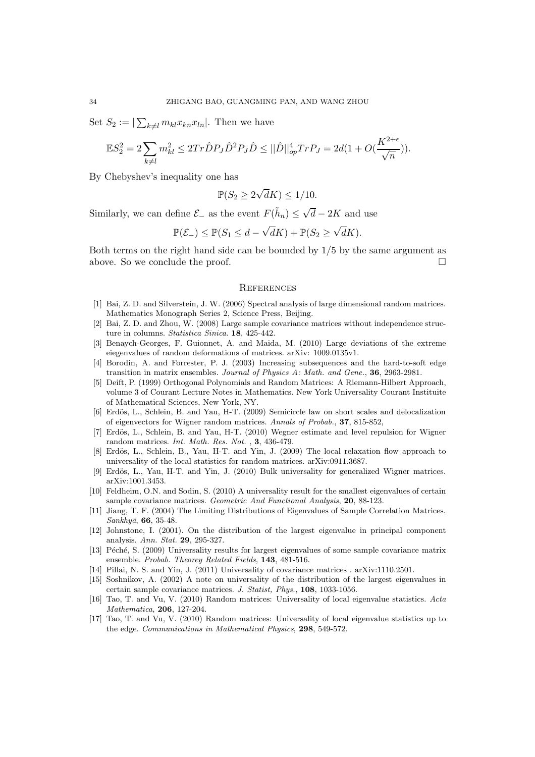Set  $S_2 := |\sum_{k \neq l} m_{kl} x_{kn} x_{ln}|$ . Then we have

$$
\mathbb{E}S_2^2 = 2\sum_{k \neq l} m_{kl}^2 \leq 2Tr\hat{D}P_J\hat{D}^2P_J\hat{D} \leq ||\hat{D}||_{op}^4 Tr P_J = 2d(1 + O(\frac{K^{2+\epsilon}}{\sqrt{n}})).
$$

By Chebyshev's inequality one has

$$
\mathbb{P}(S_2 \ge 2\sqrt{d}K) \le 1/10.
$$

Similarly, we can define  $\mathcal{E}_-$  as the event  $F(\tilde{h}_n) \leq \sqrt{d} - 2K$  and use

$$
\mathbb{P}(\mathcal{E}_-) \le \mathbb{P}(S_1 \le d - \sqrt{d}K) + \mathbb{P}(S_2 \ge \sqrt{d}K).
$$

Both terms on the right hand side can be bounded by  $1/5$  by the same argument as above. So we conclude the proof.

### **REFERENCES**

- <span id="page-33-13"></span>[1] Bai, Z. D. and Silverstein, J. W. (2006) Spectral analysis of large dimensional random matrices. Mathematics Monograph Series 2, Science Press, Beijing.
- <span id="page-33-2"></span>[2] Bai, Z. D. and Zhou, W. (2008) Large sample covariance matrices without independence structure in columns. *Statistica Sinica*. 18, 425-442.
- <span id="page-33-16"></span>[3] Benaych-Georges, F. Guionnet, A. and Maida, M. (2010) Large deviations of the extreme eiegenvalues of random deformations of matrices. arXiv: 1009.0135v1.
- <span id="page-33-3"></span>[4] Borodin, A. and Forrester, P. J. (2003) Increasing subsequences and the hard-to-soft edge transition in matrix ensembles. *Journal of Physics A: Math. and Gene.*, 36, 2963-2981.
- <span id="page-33-15"></span>[5] Deift, P. (1999) Orthogonal Polynomials and Random Matrices: A Riemann-Hilbert Approach, volume 3 of Courant Lecture Notes in Mathematics. New York Universality Courant Instituite of Mathematical Sciences, New York, NY.
- <span id="page-33-10"></span>[6] Erdös, L., Schlein, B. and Yau, H-T. (2009) Semicircle law on short scales and delocalization of eigenvectors for Wigner random matrices. *Annals of Probab.*, 37, 815-852,
- <span id="page-33-14"></span>[7] Erdös, L., Schlein, B. and Yau, H-T. (2010) Wegner estimate and level repulsion for Wigner random matrices. *Int. Math. Res. Not.* , 3, 436-479.
- <span id="page-33-11"></span>[8] Erdös, L., Schlein, B., Yau, H-T. and Yin, J. (2009) The local relaxation flow approach to universality of the local statistics for random matrices. arXiv:0911.3687.
- <span id="page-33-8"></span><span id="page-33-4"></span>[9] Erdös, L., Yau, H-T. and Yin, J. (2010) Bulk universality for generalized Wigner matrices. arXiv:1001.3453.
- [10] Feldheim, O.N. and Sodin, S. (2010) A universality result for the smallest eigenvalues of certain sample covariance matrices. *Geometric And Functional Analysis*, 20, 88-123.
- <span id="page-33-1"></span>[11] Jiang, T. F. (2004) The Limiting Distributions of Eigenvalues of Sample Correlation Matrices. *Sankhy¯a*, 66, 35-48.
- <span id="page-33-0"></span>[12] Johnstone, I. (2001). On the distribution of the largest eigenvalue in principal component analysis. *Ann. Stat.* 29, 295-327.
- <span id="page-33-5"></span>[13] Péché, S. (2009) Universality results for largest eigenvalues of some sample covariance matrix ensemble. *Probab. Theorey Related Fields*, 143, 481-516.
- <span id="page-33-12"></span><span id="page-33-6"></span>[14] Pillai, N. S. and Yin, J. (2011) Universality of covariance matrices . arXiv:1110.2501.
- [15] Soshnikov, A. (2002) A note on universality of the distribution of the largest eigenvalues in certain sample covariance matrices. *J. Statist, Phys.*, 108, 1033-1056.
- <span id="page-33-7"></span>[16] Tao, T. and Vu, V. (2010) Random matrices: Universality of local eigenvalue statistics. *Acta Mathematica*, 206, 127-204.
- <span id="page-33-9"></span>[17] Tao, T. and Vu, V. (2010) Random matrices: Universality of local eigenvalue statistics up to the edge. *Communications in Mathematical Physics*, 298, 549-572.